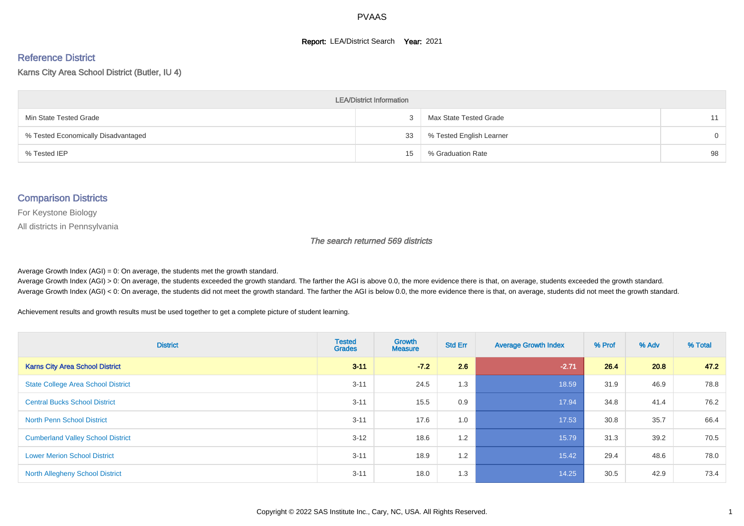#### **Report: LEA/District Search Year: 2021**

# Reference District

Karns City Area School District (Butler, IU 4)

| <b>LEA/District Information</b>     |    |                          |          |  |  |  |  |  |  |  |
|-------------------------------------|----|--------------------------|----------|--|--|--|--|--|--|--|
| Min State Tested Grade              |    | Max State Tested Grade   | 11       |  |  |  |  |  |  |  |
| % Tested Economically Disadvantaged | 33 | % Tested English Learner | $\Omega$ |  |  |  |  |  |  |  |
| % Tested IEP                        | 15 | % Graduation Rate        | 98       |  |  |  |  |  |  |  |

#### Comparison Districts

For Keystone Biology

All districts in Pennsylvania

The search returned 569 districts

Average Growth Index  $(AGI) = 0$ : On average, the students met the growth standard.

Average Growth Index (AGI) > 0: On average, the students exceeded the growth standard. The farther the AGI is above 0.0, the more evidence there is that, on average, students exceeded the growth standard. Average Growth Index (AGI) < 0: On average, the students did not meet the growth standard. The farther the AGI is below 0.0, the more evidence there is that, on average, students did not meet the growth standard.

Achievement results and growth results must be used together to get a complete picture of student learning.

| <b>District</b>                           | <b>Tested</b><br><b>Grades</b> | <b>Growth</b><br><b>Measure</b> | <b>Std Err</b> | <b>Average Growth Index</b> | % Prof | % Adv | % Total |
|-------------------------------------------|--------------------------------|---------------------------------|----------------|-----------------------------|--------|-------|---------|
| <b>Karns City Area School District</b>    | $3 - 11$                       | $-72$                           | 2.6            | $-2.71$                     | 26.4   | 20.8  | 47.2    |
| <b>State College Area School District</b> | $3 - 11$                       | 24.5                            | 1.3            | 18.59                       | 31.9   | 46.9  | 78.8    |
| <b>Central Bucks School District</b>      | $3 - 11$                       | 15.5                            | 0.9            | 17.94                       | 34.8   | 41.4  | 76.2    |
| <b>North Penn School District</b>         | $3 - 11$                       | 17.6                            | 1.0            | 17.53                       | 30.8   | 35.7  | 66.4    |
| <b>Cumberland Valley School District</b>  | $3 - 12$                       | 18.6                            | 1.2            | 15.79                       | 31.3   | 39.2  | 70.5    |
| <b>Lower Merion School District</b>       | $3 - 11$                       | 18.9                            | 1.2            | 15.42                       | 29.4   | 48.6  | 78.0    |
| <b>North Allegheny School District</b>    | $3 - 11$                       | 18.0                            | 1.3            | 14.25                       | 30.5   | 42.9  | 73.4    |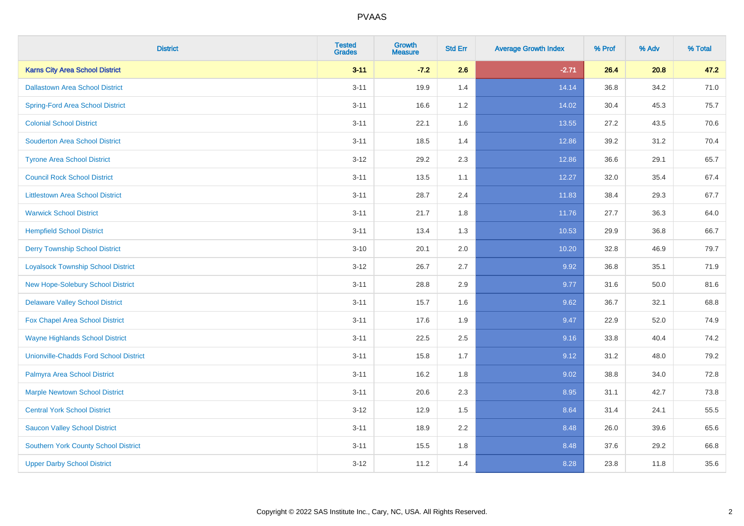| <b>District</b>                               | <b>Tested</b><br><b>Grades</b> | <b>Growth</b><br><b>Measure</b> | <b>Std Err</b> | <b>Average Growth Index</b> | % Prof | % Adv | % Total |
|-----------------------------------------------|--------------------------------|---------------------------------|----------------|-----------------------------|--------|-------|---------|
| <b>Karns City Area School District</b>        | $3 - 11$                       | $-7.2$                          | 2.6            | $-2.71$                     | 26.4   | 20.8  | 47.2    |
| <b>Dallastown Area School District</b>        | $3 - 11$                       | 19.9                            | 1.4            | 14.14                       | 36.8   | 34.2  | 71.0    |
| <b>Spring-Ford Area School District</b>       | $3 - 11$                       | 16.6                            | 1.2            | 14.02                       | 30.4   | 45.3  | 75.7    |
| <b>Colonial School District</b>               | $3 - 11$                       | 22.1                            | 1.6            | 13.55                       | 27.2   | 43.5  | 70.6    |
| <b>Souderton Area School District</b>         | $3 - 11$                       | 18.5                            | 1.4            | 12.86                       | 39.2   | 31.2  | 70.4    |
| <b>Tyrone Area School District</b>            | $3 - 12$                       | 29.2                            | 2.3            | 12.86                       | 36.6   | 29.1  | 65.7    |
| <b>Council Rock School District</b>           | $3 - 11$                       | 13.5                            | 1.1            | 12.27                       | 32.0   | 35.4  | 67.4    |
| <b>Littlestown Area School District</b>       | $3 - 11$                       | 28.7                            | 2.4            | 11.83                       | 38.4   | 29.3  | 67.7    |
| <b>Warwick School District</b>                | $3 - 11$                       | 21.7                            | 1.8            | 11.76                       | 27.7   | 36.3  | 64.0    |
| <b>Hempfield School District</b>              | $3 - 11$                       | 13.4                            | 1.3            | 10.53                       | 29.9   | 36.8  | 66.7    |
| <b>Derry Township School District</b>         | $3 - 10$                       | 20.1                            | 2.0            | 10.20                       | 32.8   | 46.9  | 79.7    |
| <b>Loyalsock Township School District</b>     | $3 - 12$                       | 26.7                            | 2.7            | 9.92                        | 36.8   | 35.1  | 71.9    |
| <b>New Hope-Solebury School District</b>      | $3 - 11$                       | 28.8                            | 2.9            | 9.77                        | 31.6   | 50.0  | 81.6    |
| <b>Delaware Valley School District</b>        | $3 - 11$                       | 15.7                            | 1.6            | 9.62                        | 36.7   | 32.1  | 68.8    |
| Fox Chapel Area School District               | $3 - 11$                       | 17.6                            | 1.9            | 9.47                        | 22.9   | 52.0  | 74.9    |
| <b>Wayne Highlands School District</b>        | $3 - 11$                       | 22.5                            | 2.5            | 9.16                        | 33.8   | 40.4  | 74.2    |
| <b>Unionville-Chadds Ford School District</b> | $3 - 11$                       | 15.8                            | 1.7            | 9.12                        | 31.2   | 48.0  | 79.2    |
| Palmyra Area School District                  | $3 - 11$                       | 16.2                            | 1.8            | 9.02                        | 38.8   | 34.0  | 72.8    |
| <b>Marple Newtown School District</b>         | $3 - 11$                       | 20.6                            | 2.3            | 8.95                        | 31.1   | 42.7  | 73.8    |
| <b>Central York School District</b>           | $3 - 12$                       | 12.9                            | 1.5            | 8.64                        | 31.4   | 24.1  | 55.5    |
| <b>Saucon Valley School District</b>          | $3 - 11$                       | 18.9                            | 2.2            | 8.48                        | 26.0   | 39.6  | 65.6    |
| <b>Southern York County School District</b>   | $3 - 11$                       | 15.5                            | 1.8            | 8.48                        | 37.6   | 29.2  | 66.8    |
| <b>Upper Darby School District</b>            | $3-12$                         | 11.2                            | 1.4            | 8.28                        | 23.8   | 11.8  | 35.6    |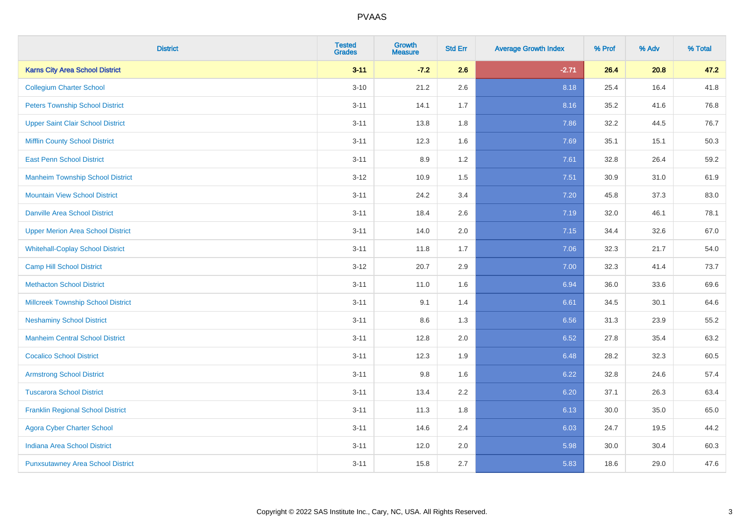| <b>District</b>                           | <b>Tested</b><br><b>Grades</b> | <b>Growth</b><br><b>Measure</b> | <b>Std Err</b> | <b>Average Growth Index</b> | % Prof | % Adv | % Total |
|-------------------------------------------|--------------------------------|---------------------------------|----------------|-----------------------------|--------|-------|---------|
| <b>Karns City Area School District</b>    | $3 - 11$                       | $-7.2$                          | 2.6            | $-2.71$                     | 26.4   | 20.8  | 47.2    |
| <b>Collegium Charter School</b>           | $3 - 10$                       | 21.2                            | 2.6            | 8.18                        | 25.4   | 16.4  | 41.8    |
| <b>Peters Township School District</b>    | $3 - 11$                       | 14.1                            | 1.7            | 8.16                        | 35.2   | 41.6  | 76.8    |
| <b>Upper Saint Clair School District</b>  | $3 - 11$                       | 13.8                            | 1.8            | 7.86                        | 32.2   | 44.5  | 76.7    |
| <b>Mifflin County School District</b>     | $3 - 11$                       | 12.3                            | 1.6            | 7.69                        | 35.1   | 15.1  | 50.3    |
| <b>East Penn School District</b>          | $3 - 11$                       | 8.9                             | 1.2            | 7.61                        | 32.8   | 26.4  | 59.2    |
| <b>Manheim Township School District</b>   | $3 - 12$                       | 10.9                            | 1.5            | 7.51                        | 30.9   | 31.0  | 61.9    |
| <b>Mountain View School District</b>      | $3 - 11$                       | 24.2                            | 3.4            | 7.20                        | 45.8   | 37.3  | 83.0    |
| <b>Danville Area School District</b>      | $3 - 11$                       | 18.4                            | 2.6            | 7.19                        | 32.0   | 46.1  | 78.1    |
| <b>Upper Merion Area School District</b>  | $3 - 11$                       | 14.0                            | 2.0            | 7.15                        | 34.4   | 32.6  | 67.0    |
| <b>Whitehall-Coplay School District</b>   | $3 - 11$                       | 11.8                            | 1.7            | 7.06                        | 32.3   | 21.7  | 54.0    |
| <b>Camp Hill School District</b>          | $3 - 12$                       | 20.7                            | 2.9            | 7.00                        | 32.3   | 41.4  | 73.7    |
| <b>Methacton School District</b>          | $3 - 11$                       | 11.0                            | 1.6            | 6.94                        | 36.0   | 33.6  | 69.6    |
| <b>Millcreek Township School District</b> | $3 - 11$                       | 9.1                             | 1.4            | 6.61                        | 34.5   | 30.1  | 64.6    |
| <b>Neshaminy School District</b>          | $3 - 11$                       | 8.6                             | 1.3            | 6.56                        | 31.3   | 23.9  | 55.2    |
| <b>Manheim Central School District</b>    | $3 - 11$                       | 12.8                            | 2.0            | 6.52                        | 27.8   | 35.4  | 63.2    |
| <b>Cocalico School District</b>           | $3 - 11$                       | 12.3                            | 1.9            | 6.48                        | 28.2   | 32.3  | 60.5    |
| <b>Armstrong School District</b>          | $3 - 11$                       | 9.8                             | 1.6            | 6.22                        | 32.8   | 24.6  | 57.4    |
| <b>Tuscarora School District</b>          | $3 - 11$                       | 13.4                            | 2.2            | 6.20                        | 37.1   | 26.3  | 63.4    |
| <b>Franklin Regional School District</b>  | $3 - 11$                       | 11.3                            | 1.8            | 6.13                        | 30.0   | 35.0  | 65.0    |
| <b>Agora Cyber Charter School</b>         | $3 - 11$                       | 14.6                            | 2.4            | 6.03                        | 24.7   | 19.5  | 44.2    |
| <b>Indiana Area School District</b>       | $3 - 11$                       | 12.0                            | 2.0            | 5.98                        | 30.0   | 30.4  | 60.3    |
| <b>Punxsutawney Area School District</b>  | $3 - 11$                       | 15.8                            | 2.7            | 5.83                        | 18.6   | 29.0  | 47.6    |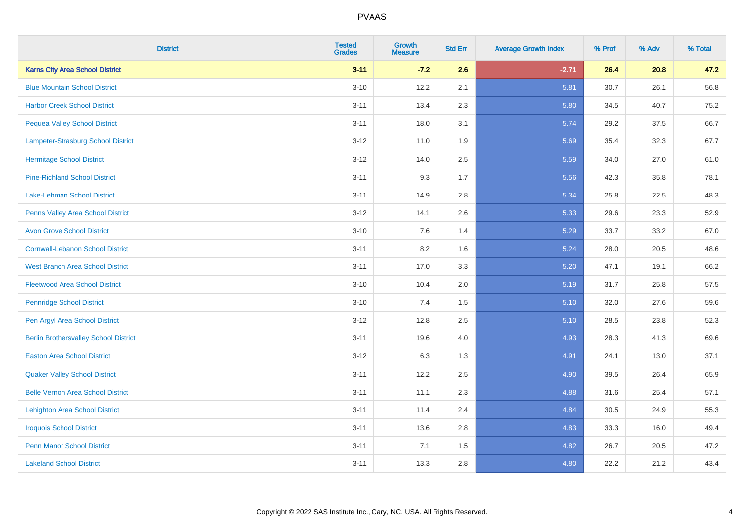| <b>District</b>                              | <b>Tested</b><br><b>Grades</b> | <b>Growth</b><br><b>Measure</b> | <b>Std Err</b> | <b>Average Growth Index</b> | % Prof | % Adv | % Total |
|----------------------------------------------|--------------------------------|---------------------------------|----------------|-----------------------------|--------|-------|---------|
| <b>Karns City Area School District</b>       | $3 - 11$                       | $-7.2$                          | 2.6            | $-2.71$                     | 26.4   | 20.8  | 47.2    |
| <b>Blue Mountain School District</b>         | $3 - 10$                       | 12.2                            | 2.1            | 5.81                        | 30.7   | 26.1  | 56.8    |
| <b>Harbor Creek School District</b>          | $3 - 11$                       | 13.4                            | 2.3            | 5.80                        | 34.5   | 40.7  | 75.2    |
| <b>Pequea Valley School District</b>         | $3 - 11$                       | 18.0                            | 3.1            | 5.74                        | 29.2   | 37.5  | 66.7    |
| Lampeter-Strasburg School District           | $3 - 12$                       | 11.0                            | 1.9            | 5.69                        | 35.4   | 32.3  | 67.7    |
| <b>Hermitage School District</b>             | $3 - 12$                       | 14.0                            | 2.5            | 5.59                        | 34.0   | 27.0  | 61.0    |
| <b>Pine-Richland School District</b>         | $3 - 11$                       | 9.3                             | 1.7            | 5.56                        | 42.3   | 35.8  | 78.1    |
| Lake-Lehman School District                  | $3 - 11$                       | 14.9                            | 2.8            | 5.34                        | 25.8   | 22.5  | 48.3    |
| Penns Valley Area School District            | $3 - 12$                       | 14.1                            | 2.6            | 5.33                        | 29.6   | 23.3  | 52.9    |
| <b>Avon Grove School District</b>            | $3 - 10$                       | 7.6                             | 1.4            | 5.29                        | 33.7   | 33.2  | 67.0    |
| <b>Cornwall-Lebanon School District</b>      | $3 - 11$                       | 8.2                             | 1.6            | 5.24                        | 28.0   | 20.5  | 48.6    |
| <b>West Branch Area School District</b>      | $3 - 11$                       | 17.0                            | 3.3            | 5.20                        | 47.1   | 19.1  | 66.2    |
| <b>Fleetwood Area School District</b>        | $3 - 10$                       | 10.4                            | 2.0            | 5.19                        | 31.7   | 25.8  | 57.5    |
| <b>Pennridge School District</b>             | $3 - 10$                       | 7.4                             | 1.5            | 5.10                        | 32.0   | 27.6  | 59.6    |
| Pen Argyl Area School District               | $3 - 12$                       | 12.8                            | 2.5            | 5.10                        | 28.5   | 23.8  | 52.3    |
| <b>Berlin Brothersvalley School District</b> | $3 - 11$                       | 19.6                            | 4.0            | 4.93                        | 28.3   | 41.3  | 69.6    |
| <b>Easton Area School District</b>           | $3 - 12$                       | 6.3                             | 1.3            | 4.91                        | 24.1   | 13.0  | 37.1    |
| <b>Quaker Valley School District</b>         | $3 - 11$                       | 12.2                            | 2.5            | 4.90                        | 39.5   | 26.4  | 65.9    |
| <b>Belle Vernon Area School District</b>     | $3 - 11$                       | 11.1                            | 2.3            | 4.88                        | 31.6   | 25.4  | 57.1    |
| <b>Lehighton Area School District</b>        | $3 - 11$                       | 11.4                            | 2.4            | 4.84                        | 30.5   | 24.9  | 55.3    |
| <b>Iroquois School District</b>              | $3 - 11$                       | 13.6                            | 2.8            | 4.83                        | 33.3   | 16.0  | 49.4    |
| <b>Penn Manor School District</b>            | $3 - 11$                       | 7.1                             | 1.5            | 4.82                        | 26.7   | 20.5  | 47.2    |
| <b>Lakeland School District</b>              | $3 - 11$                       | 13.3                            | 2.8            | 4.80                        | 22.2   | 21.2  | 43.4    |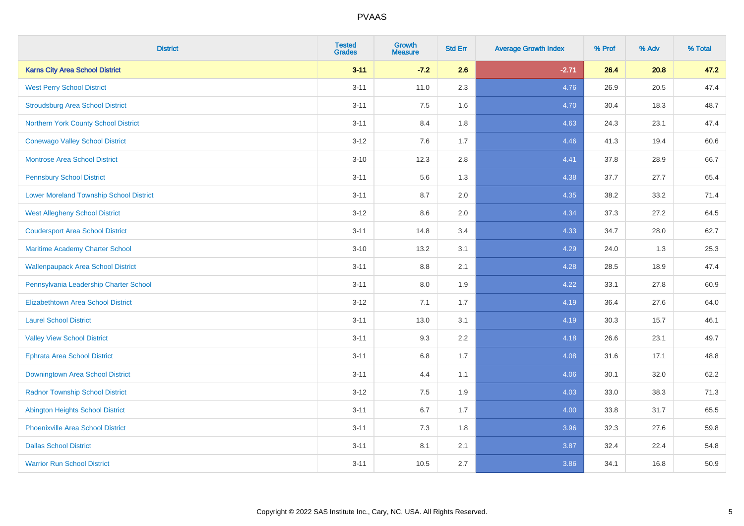| <b>District</b>                                | <b>Tested</b><br><b>Grades</b> | <b>Growth</b><br><b>Measure</b> | <b>Std Err</b> | <b>Average Growth Index</b> | % Prof | % Adv | % Total |
|------------------------------------------------|--------------------------------|---------------------------------|----------------|-----------------------------|--------|-------|---------|
| <b>Karns City Area School District</b>         | $3 - 11$                       | $-7.2$                          | 2.6            | $-2.71$                     | 26.4   | 20.8  | 47.2    |
| <b>West Perry School District</b>              | $3 - 11$                       | 11.0                            | 2.3            | 4.76                        | 26.9   | 20.5  | 47.4    |
| <b>Stroudsburg Area School District</b>        | $3 - 11$                       | 7.5                             | 1.6            | 4.70                        | 30.4   | 18.3  | 48.7    |
| Northern York County School District           | $3 - 11$                       | 8.4                             | 1.8            | 4.63                        | 24.3   | 23.1  | 47.4    |
| <b>Conewago Valley School District</b>         | $3 - 12$                       | 7.6                             | 1.7            | 4.46                        | 41.3   | 19.4  | 60.6    |
| <b>Montrose Area School District</b>           | $3 - 10$                       | 12.3                            | 2.8            | 4.41                        | 37.8   | 28.9  | 66.7    |
| <b>Pennsbury School District</b>               | $3 - 11$                       | 5.6                             | 1.3            | 4.38                        | 37.7   | 27.7  | 65.4    |
| <b>Lower Moreland Township School District</b> | $3 - 11$                       | 8.7                             | 2.0            | 4.35                        | 38.2   | 33.2  | 71.4    |
| <b>West Allegheny School District</b>          | $3 - 12$                       | 8.6                             | 2.0            | 4.34                        | 37.3   | 27.2  | 64.5    |
| <b>Coudersport Area School District</b>        | $3 - 11$                       | 14.8                            | 3.4            | 4.33                        | 34.7   | 28.0  | 62.7    |
| Maritime Academy Charter School                | $3 - 10$                       | 13.2                            | 3.1            | 4.29                        | 24.0   | 1.3   | 25.3    |
| <b>Wallenpaupack Area School District</b>      | $3 - 11$                       | 8.8                             | 2.1            | 4.28                        | 28.5   | 18.9  | 47.4    |
| Pennsylvania Leadership Charter School         | $3 - 11$                       | 8.0                             | 1.9            | 4.22                        | 33.1   | 27.8  | 60.9    |
| <b>Elizabethtown Area School District</b>      | $3 - 12$                       | 7.1                             | 1.7            | 4.19                        | 36.4   | 27.6  | 64.0    |
| <b>Laurel School District</b>                  | $3 - 11$                       | 13.0                            | 3.1            | 4.19                        | 30.3   | 15.7  | 46.1    |
| <b>Valley View School District</b>             | $3 - 11$                       | 9.3                             | 2.2            | 4.18                        | 26.6   | 23.1  | 49.7    |
| <b>Ephrata Area School District</b>            | $3 - 11$                       | 6.8                             | 1.7            | 4.08                        | 31.6   | 17.1  | 48.8    |
| Downingtown Area School District               | $3 - 11$                       | 4.4                             | 1.1            | 4.06                        | 30.1   | 32.0  | 62.2    |
| <b>Radnor Township School District</b>         | $3 - 12$                       | 7.5                             | 1.9            | 4.03                        | 33.0   | 38.3  | 71.3    |
| <b>Abington Heights School District</b>        | $3 - 11$                       | 6.7                             | 1.7            | 4.00                        | 33.8   | 31.7  | 65.5    |
| <b>Phoenixville Area School District</b>       | $3 - 11$                       | 7.3                             | 1.8            | 3.96                        | 32.3   | 27.6  | 59.8    |
| <b>Dallas School District</b>                  | $3 - 11$                       | 8.1                             | 2.1            | 3.87                        | 32.4   | 22.4  | 54.8    |
| <b>Warrior Run School District</b>             | $3 - 11$                       | 10.5                            | 2.7            | 3.86                        | 34.1   | 16.8  | 50.9    |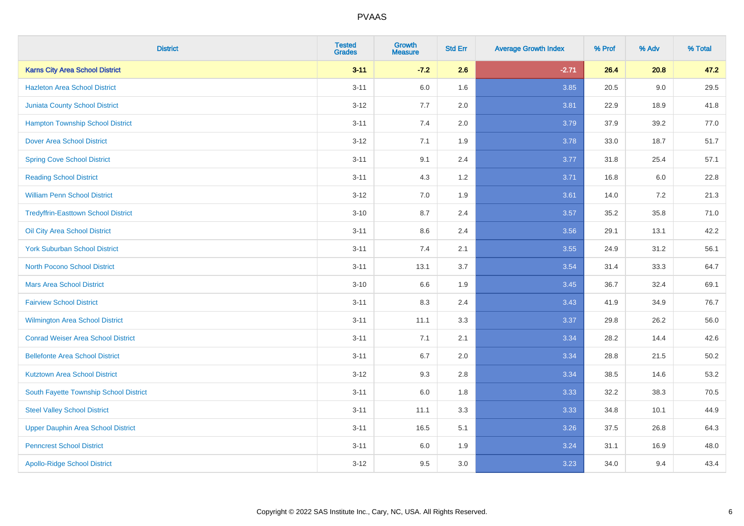| <b>District</b>                            | <b>Tested</b><br><b>Grades</b> | <b>Growth</b><br><b>Measure</b> | <b>Std Err</b> | <b>Average Growth Index</b> | % Prof | % Adv   | % Total  |
|--------------------------------------------|--------------------------------|---------------------------------|----------------|-----------------------------|--------|---------|----------|
| <b>Karns City Area School District</b>     | $3 - 11$                       | $-7.2$                          | 2.6            | $-2.71$                     | 26.4   | 20.8    | 47.2     |
| <b>Hazleton Area School District</b>       | $3 - 11$                       | 6.0                             | 1.6            | 3.85                        | 20.5   | $9.0\,$ | 29.5     |
| <b>Juniata County School District</b>      | $3 - 12$                       | 7.7                             | 2.0            | 3.81                        | 22.9   | 18.9    | 41.8     |
| <b>Hampton Township School District</b>    | $3 - 11$                       | 7.4                             | 2.0            | 3.79                        | 37.9   | 39.2    | 77.0     |
| <b>Dover Area School District</b>          | $3 - 12$                       | 7.1                             | 1.9            | 3.78                        | 33.0   | 18.7    | 51.7     |
| <b>Spring Cove School District</b>         | $3 - 11$                       | 9.1                             | 2.4            | 3.77                        | 31.8   | 25.4    | 57.1     |
| <b>Reading School District</b>             | $3 - 11$                       | 4.3                             | $1.2$          | 3.71                        | 16.8   | 6.0     | 22.8     |
| <b>William Penn School District</b>        | $3 - 12$                       | 7.0                             | 1.9            | 3.61                        | 14.0   | 7.2     | 21.3     |
| <b>Tredyffrin-Easttown School District</b> | $3 - 10$                       | 8.7                             | 2.4            | 3.57                        | 35.2   | 35.8    | 71.0     |
| Oil City Area School District              | $3 - 11$                       | 8.6                             | 2.4            | 3.56                        | 29.1   | 13.1    | 42.2     |
| <b>York Suburban School District</b>       | $3 - 11$                       | 7.4                             | 2.1            | 3.55                        | 24.9   | 31.2    | 56.1     |
| <b>North Pocono School District</b>        | $3 - 11$                       | 13.1                            | 3.7            | 3.54                        | 31.4   | 33.3    | 64.7     |
| <b>Mars Area School District</b>           | $3 - 10$                       | 6.6                             | 1.9            | 3.45                        | 36.7   | 32.4    | 69.1     |
| <b>Fairview School District</b>            | $3 - 11$                       | 8.3                             | 2.4            | 3.43                        | 41.9   | 34.9    | 76.7     |
| Wilmington Area School District            | $3 - 11$                       | 11.1                            | 3.3            | 3.37                        | 29.8   | 26.2    | 56.0     |
| <b>Conrad Weiser Area School District</b>  | $3 - 11$                       | 7.1                             | 2.1            | 3.34                        | 28.2   | 14.4    | 42.6     |
| <b>Bellefonte Area School District</b>     | $3 - 11$                       | 6.7                             | 2.0            | 3.34                        | 28.8   | 21.5    | $50.2\,$ |
| <b>Kutztown Area School District</b>       | $3 - 12$                       | 9.3                             | 2.8            | 3.34                        | 38.5   | 14.6    | 53.2     |
| South Fayette Township School District     | $3 - 11$                       | $6.0\,$                         | 1.8            | 3.33                        | 32.2   | 38.3    | 70.5     |
| <b>Steel Valley School District</b>        | $3 - 11$                       | 11.1                            | 3.3            | 3.33                        | 34.8   | 10.1    | 44.9     |
| <b>Upper Dauphin Area School District</b>  | $3 - 11$                       | 16.5                            | 5.1            | 3.26                        | 37.5   | 26.8    | 64.3     |
| <b>Penncrest School District</b>           | $3 - 11$                       | 6.0                             | 1.9            | 3.24                        | 31.1   | 16.9    | 48.0     |
| <b>Apollo-Ridge School District</b>        | $3-12$                         | 9.5                             | 3.0            | 3.23                        | 34.0   | 9.4     | 43.4     |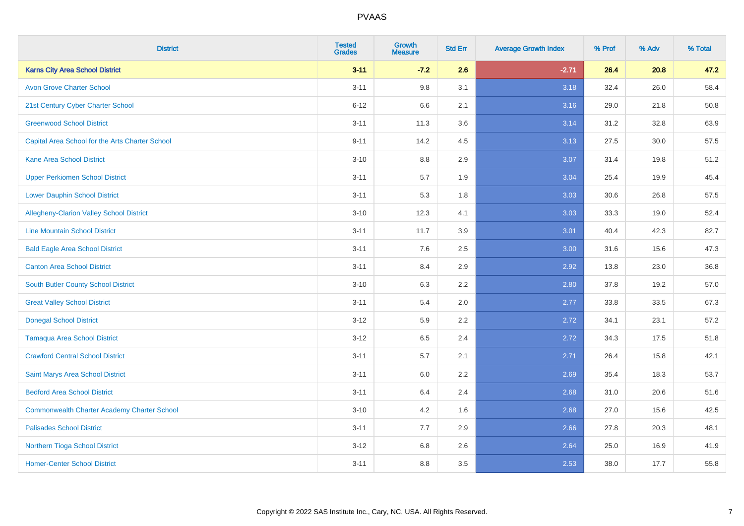| <b>District</b>                                    | <b>Tested</b><br><b>Grades</b> | Growth<br><b>Measure</b> | <b>Std Err</b> | <b>Average Growth Index</b> | % Prof | % Adv | % Total |
|----------------------------------------------------|--------------------------------|--------------------------|----------------|-----------------------------|--------|-------|---------|
| <b>Karns City Area School District</b>             | $3 - 11$                       | $-7.2$                   | 2.6            | $-2.71$                     | 26.4   | 20.8  | 47.2    |
| <b>Avon Grove Charter School</b>                   | $3 - 11$                       | 9.8                      | 3.1            | 3.18                        | 32.4   | 26.0  | 58.4    |
| 21st Century Cyber Charter School                  | $6 - 12$                       | 6.6                      | 2.1            | 3.16                        | 29.0   | 21.8  | 50.8    |
| <b>Greenwood School District</b>                   | $3 - 11$                       | 11.3                     | 3.6            | 3.14                        | 31.2   | 32.8  | 63.9    |
| Capital Area School for the Arts Charter School    | $9 - 11$                       | 14.2                     | 4.5            | 3.13                        | 27.5   | 30.0  | 57.5    |
| <b>Kane Area School District</b>                   | $3 - 10$                       | 8.8                      | 2.9            | 3.07                        | 31.4   | 19.8  | 51.2    |
| <b>Upper Perkiomen School District</b>             | $3 - 11$                       | 5.7                      | 1.9            | 3.04                        | 25.4   | 19.9  | 45.4    |
| <b>Lower Dauphin School District</b>               | $3 - 11$                       | 5.3                      | 1.8            | 3.03                        | 30.6   | 26.8  | 57.5    |
| Allegheny-Clarion Valley School District           | $3 - 10$                       | 12.3                     | 4.1            | 3.03                        | 33.3   | 19.0  | 52.4    |
| <b>Line Mountain School District</b>               | $3 - 11$                       | 11.7                     | 3.9            | 3.01                        | 40.4   | 42.3  | 82.7    |
| <b>Bald Eagle Area School District</b>             | $3 - 11$                       | 7.6                      | 2.5            | 3.00                        | 31.6   | 15.6  | 47.3    |
| <b>Canton Area School District</b>                 | $3 - 11$                       | 8.4                      | 2.9            | 2.92                        | 13.8   | 23.0  | 36.8    |
| South Butler County School District                | $3 - 10$                       | 6.3                      | 2.2            | 2.80                        | 37.8   | 19.2  | 57.0    |
| <b>Great Valley School District</b>                | $3 - 11$                       | 5.4                      | 2.0            | 2.77                        | 33.8   | 33.5  | 67.3    |
| <b>Donegal School District</b>                     | $3-12$                         | 5.9                      | 2.2            | 2.72                        | 34.1   | 23.1  | 57.2    |
| <b>Tamaqua Area School District</b>                | $3 - 12$                       | 6.5                      | 2.4            | 2.72                        | 34.3   | 17.5  | 51.8    |
| <b>Crawford Central School District</b>            | $3 - 11$                       | 5.7                      | 2.1            | 2.71                        | 26.4   | 15.8  | 42.1    |
| Saint Marys Area School District                   | $3 - 11$                       | 6.0                      | 2.2            | 2.69                        | 35.4   | 18.3  | 53.7    |
| <b>Bedford Area School District</b>                | $3 - 11$                       | 6.4                      | 2.4            | 2.68                        | 31.0   | 20.6  | 51.6    |
| <b>Commonwealth Charter Academy Charter School</b> | $3 - 10$                       | 4.2                      | 1.6            | 2.68                        | 27.0   | 15.6  | 42.5    |
| <b>Palisades School District</b>                   | $3 - 11$                       | 7.7                      | 2.9            | 2.66                        | 27.8   | 20.3  | 48.1    |
| Northern Tioga School District                     | $3 - 12$                       | 6.8                      | 2.6            | 2.64                        | 25.0   | 16.9  | 41.9    |
| <b>Homer-Center School District</b>                | $3 - 11$                       | 8.8                      | 3.5            | 2.53                        | 38.0   | 17.7  | 55.8    |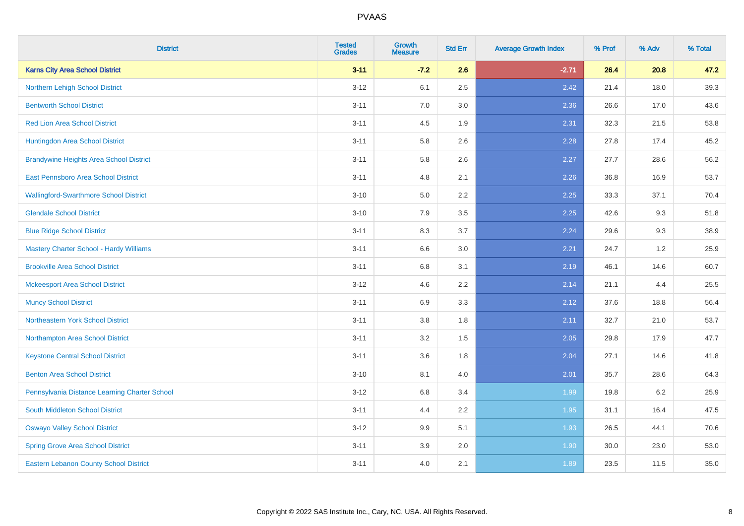| <b>District</b>                                | <b>Tested</b><br><b>Grades</b> | <b>Growth</b><br><b>Measure</b> | <b>Std Err</b> | <b>Average Growth Index</b> | % Prof | % Adv | % Total |
|------------------------------------------------|--------------------------------|---------------------------------|----------------|-----------------------------|--------|-------|---------|
| <b>Karns City Area School District</b>         | $3 - 11$                       | $-7.2$                          | 2.6            | $-2.71$                     | 26.4   | 20.8  | 47.2    |
| Northern Lehigh School District                | $3 - 12$                       | 6.1                             | 2.5            | 2.42                        | 21.4   | 18.0  | 39.3    |
| <b>Bentworth School District</b>               | $3 - 11$                       | 7.0                             | 3.0            | 2.36                        | 26.6   | 17.0  | 43.6    |
| <b>Red Lion Area School District</b>           | $3 - 11$                       | 4.5                             | 1.9            | 2.31                        | 32.3   | 21.5  | 53.8    |
| Huntingdon Area School District                | $3 - 11$                       | 5.8                             | 2.6            | 2.28                        | 27.8   | 17.4  | 45.2    |
| <b>Brandywine Heights Area School District</b> | $3 - 11$                       | 5.8                             | 2.6            | 2.27                        | 27.7   | 28.6  | 56.2    |
| East Pennsboro Area School District            | $3 - 11$                       | 4.8                             | 2.1            | 2.26                        | 36.8   | 16.9  | 53.7    |
| <b>Wallingford-Swarthmore School District</b>  | $3 - 10$                       | 5.0                             | 2.2            | 2.25                        | 33.3   | 37.1  | 70.4    |
| <b>Glendale School District</b>                | $3 - 10$                       | 7.9                             | 3.5            | 2.25                        | 42.6   | 9.3   | 51.8    |
| <b>Blue Ridge School District</b>              | $3 - 11$                       | 8.3                             | 3.7            | 2.24                        | 29.6   | 9.3   | 38.9    |
| Mastery Charter School - Hardy Williams        | $3 - 11$                       | 6.6                             | 3.0            | 2.21                        | 24.7   | 1.2   | 25.9    |
| <b>Brookville Area School District</b>         | $3 - 11$                       | 6.8                             | 3.1            | 2.19                        | 46.1   | 14.6  | 60.7    |
| <b>Mckeesport Area School District</b>         | $3 - 12$                       | 4.6                             | 2.2            | 2.14                        | 21.1   | 4.4   | 25.5    |
| <b>Muncy School District</b>                   | $3 - 11$                       | 6.9                             | 3.3            | 2.12                        | 37.6   | 18.8  | 56.4    |
| Northeastern York School District              | $3 - 11$                       | $3.8\,$                         | 1.8            | 2.11                        | 32.7   | 21.0  | 53.7    |
| Northampton Area School District               | $3 - 11$                       | 3.2                             | 1.5            | 2.05                        | 29.8   | 17.9  | 47.7    |
| <b>Keystone Central School District</b>        | $3 - 11$                       | 3.6                             | 1.8            | 2.04                        | 27.1   | 14.6  | 41.8    |
| <b>Benton Area School District</b>             | $3 - 10$                       | 8.1                             | 4.0            | 2.01                        | 35.7   | 28.6  | 64.3    |
| Pennsylvania Distance Learning Charter School  | $3 - 12$                       | 6.8                             | 3.4            | 1.99                        | 19.8   | 6.2   | 25.9    |
| South Middleton School District                | $3 - 11$                       | 4.4                             | 2.2            | 1.95                        | 31.1   | 16.4  | 47.5    |
| <b>Oswayo Valley School District</b>           | $3 - 12$                       | 9.9                             | 5.1            | 1.93                        | 26.5   | 44.1  | 70.6    |
| <b>Spring Grove Area School District</b>       | $3 - 11$                       | 3.9                             | 2.0            | 1.90                        | 30.0   | 23.0  | 53.0    |
| <b>Eastern Lebanon County School District</b>  | $3 - 11$                       | 4.0                             | 2.1            | 1.89                        | 23.5   | 11.5  | 35.0    |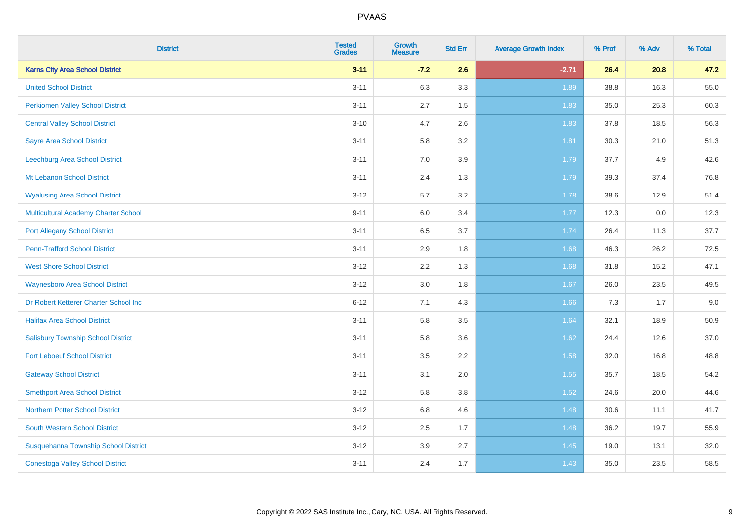| <b>District</b>                             | <b>Tested</b><br><b>Grades</b> | <b>Growth</b><br><b>Measure</b> | <b>Std Err</b> | <b>Average Growth Index</b> | % Prof | % Adv | % Total |
|---------------------------------------------|--------------------------------|---------------------------------|----------------|-----------------------------|--------|-------|---------|
| <b>Karns City Area School District</b>      | $3 - 11$                       | $-7.2$                          | 2.6            | $-2.71$                     | 26.4   | 20.8  | 47.2    |
| <b>United School District</b>               | $3 - 11$                       | 6.3                             | 3.3            | 1.89                        | 38.8   | 16.3  | 55.0    |
| <b>Perkiomen Valley School District</b>     | $3 - 11$                       | 2.7                             | 1.5            | 1.83                        | 35.0   | 25.3  | 60.3    |
| <b>Central Valley School District</b>       | $3 - 10$                       | 4.7                             | 2.6            | 1.83                        | 37.8   | 18.5  | 56.3    |
| <b>Sayre Area School District</b>           | $3 - 11$                       | 5.8                             | 3.2            | 1.81                        | 30.3   | 21.0  | 51.3    |
| Leechburg Area School District              | $3 - 11$                       | 7.0                             | 3.9            | 1.79                        | 37.7   | 4.9   | 42.6    |
| Mt Lebanon School District                  | $3 - 11$                       | 2.4                             | 1.3            | 1.79                        | 39.3   | 37.4  | 76.8    |
| <b>Wyalusing Area School District</b>       | $3 - 12$                       | 5.7                             | 3.2            | 1.78                        | 38.6   | 12.9  | 51.4    |
| <b>Multicultural Academy Charter School</b> | $9 - 11$                       | 6.0                             | 3.4            | 1.77                        | 12.3   | 0.0   | 12.3    |
| <b>Port Allegany School District</b>        | $3 - 11$                       | 6.5                             | 3.7            | 1.74                        | 26.4   | 11.3  | 37.7    |
| <b>Penn-Trafford School District</b>        | $3 - 11$                       | 2.9                             | 1.8            | 1.68                        | 46.3   | 26.2  | 72.5    |
| <b>West Shore School District</b>           | $3 - 12$                       | 2.2                             | 1.3            | 1.68                        | 31.8   | 15.2  | 47.1    |
| <b>Waynesboro Area School District</b>      | $3 - 12$                       | 3.0                             | 1.8            | 1.67                        | 26.0   | 23.5  | 49.5    |
| Dr Robert Ketterer Charter School Inc       | $6 - 12$                       | 7.1                             | 4.3            | 1.66                        | 7.3    | 1.7   | 9.0     |
| <b>Halifax Area School District</b>         | $3 - 11$                       | 5.8                             | 3.5            | 1.64                        | 32.1   | 18.9  | 50.9    |
| <b>Salisbury Township School District</b>   | $3 - 11$                       | 5.8                             | 3.6            | 1.62                        | 24.4   | 12.6  | 37.0    |
| <b>Fort Leboeuf School District</b>         | $3 - 11$                       | 3.5                             | 2.2            | 1.58                        | 32.0   | 16.8  | 48.8    |
| <b>Gateway School District</b>              | $3 - 11$                       | 3.1                             | 2.0            | 1.55                        | 35.7   | 18.5  | 54.2    |
| <b>Smethport Area School District</b>       | $3 - 12$                       | 5.8                             | 3.8            | 1.52                        | 24.6   | 20.0  | 44.6    |
| <b>Northern Potter School District</b>      | $3 - 12$                       | 6.8                             | 4.6            | 1.48                        | 30.6   | 11.1  | 41.7    |
| South Western School District               | $3-12$                         | $2.5\,$                         | 1.7            | 1.48                        | 36.2   | 19.7  | 55.9    |
| Susquehanna Township School District        | $3 - 12$                       | 3.9                             | 2.7            | 1.45                        | 19.0   | 13.1  | 32.0    |
| <b>Conestoga Valley School District</b>     | $3 - 11$                       | 2.4                             | 1.7            | 1.43                        | 35.0   | 23.5  | 58.5    |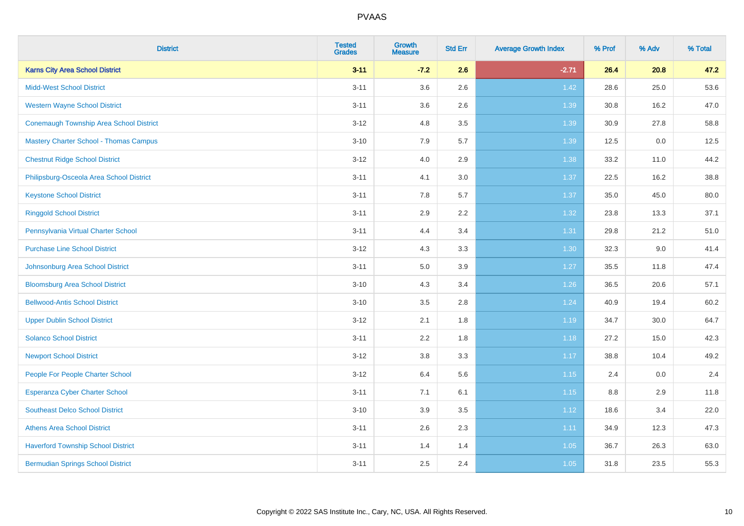| <b>District</b>                                | <b>Tested</b><br><b>Grades</b> | Growth<br><b>Measure</b> | <b>Std Err</b> | <b>Average Growth Index</b> | % Prof | % Adv | % Total |
|------------------------------------------------|--------------------------------|--------------------------|----------------|-----------------------------|--------|-------|---------|
| <b>Karns City Area School District</b>         | $3 - 11$                       | $-7.2$                   | 2.6            | $-2.71$                     | 26.4   | 20.8  | 47.2    |
| <b>Midd-West School District</b>               | $3 - 11$                       | 3.6                      | 2.6            | 1.42                        | 28.6   | 25.0  | 53.6    |
| <b>Western Wayne School District</b>           | $3 - 11$                       | 3.6                      | 2.6            | 1.39                        | 30.8   | 16.2  | 47.0    |
| <b>Conemaugh Township Area School District</b> | $3 - 12$                       | 4.8                      | 3.5            | 1.39                        | 30.9   | 27.8  | 58.8    |
| <b>Mastery Charter School - Thomas Campus</b>  | $3 - 10$                       | 7.9                      | 5.7            | 1.39                        | 12.5   | 0.0   | 12.5    |
| <b>Chestnut Ridge School District</b>          | $3-12$                         | 4.0                      | 2.9            | 1.38                        | 33.2   | 11.0  | 44.2    |
| Philipsburg-Osceola Area School District       | $3 - 11$                       | 4.1                      | 3.0            | 1.37                        | 22.5   | 16.2  | 38.8    |
| <b>Keystone School District</b>                | $3 - 11$                       | 7.8                      | 5.7            | 1.37                        | 35.0   | 45.0  | 80.0    |
| <b>Ringgold School District</b>                | $3 - 11$                       | 2.9                      | 2.2            | 1.32                        | 23.8   | 13.3  | 37.1    |
| Pennsylvania Virtual Charter School            | $3 - 11$                       | 4.4                      | 3.4            | 1.31                        | 29.8   | 21.2  | 51.0    |
| <b>Purchase Line School District</b>           | $3-12$                         | 4.3                      | 3.3            | 1.30                        | 32.3   | 9.0   | 41.4    |
| Johnsonburg Area School District               | $3 - 11$                       | 5.0                      | 3.9            | 1.27                        | 35.5   | 11.8  | 47.4    |
| <b>Bloomsburg Area School District</b>         | $3 - 10$                       | 4.3                      | 3.4            | $1.26$                      | 36.5   | 20.6  | 57.1    |
| <b>Bellwood-Antis School District</b>          | $3 - 10$                       | 3.5                      | 2.8            | 1.24                        | 40.9   | 19.4  | 60.2    |
| <b>Upper Dublin School District</b>            | $3-12$                         | 2.1                      | 1.8            | 1.19                        | 34.7   | 30.0  | 64.7    |
| <b>Solanco School District</b>                 | $3 - 11$                       | 2.2                      | 1.8            | 1.18                        | 27.2   | 15.0  | 42.3    |
| <b>Newport School District</b>                 | $3 - 12$                       | $3.8\,$                  | 3.3            | 1.17                        | 38.8   | 10.4  | 49.2    |
| People For People Charter School               | $3-12$                         | 6.4                      | 5.6            | 1.15                        | 2.4    | 0.0   | 2.4     |
| Esperanza Cyber Charter School                 | $3 - 11$                       | 7.1                      | 6.1            | 1.15                        | 8.8    | 2.9   | 11.8    |
| <b>Southeast Delco School District</b>         | $3 - 10$                       | 3.9                      | 3.5            | 1.12                        | 18.6   | 3.4   | 22.0    |
| <b>Athens Area School District</b>             | $3 - 11$                       | 2.6                      | 2.3            | 1.11                        | 34.9   | 12.3  | 47.3    |
| <b>Haverford Township School District</b>      | $3 - 11$                       | 1.4                      | 1.4            | 1.05                        | 36.7   | 26.3  | 63.0    |
| <b>Bermudian Springs School District</b>       | $3 - 11$                       | 2.5                      | 2.4            | 1.05                        | 31.8   | 23.5  | 55.3    |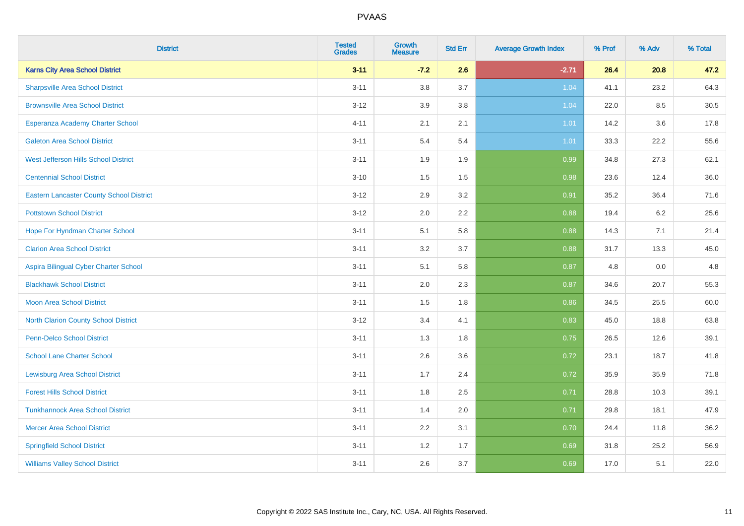| <b>District</b>                                 | <b>Tested</b><br><b>Grades</b> | <b>Growth</b><br><b>Measure</b> | <b>Std Err</b> | <b>Average Growth Index</b> | % Prof | % Adv | % Total |
|-------------------------------------------------|--------------------------------|---------------------------------|----------------|-----------------------------|--------|-------|---------|
| <b>Karns City Area School District</b>          | $3 - 11$                       | $-7.2$                          | 2.6            | $-2.71$                     | 26.4   | 20.8  | 47.2    |
| <b>Sharpsville Area School District</b>         | $3 - 11$                       | 3.8                             | 3.7            | 1.04                        | 41.1   | 23.2  | 64.3    |
| <b>Brownsville Area School District</b>         | $3 - 12$                       | 3.9                             | 3.8            | 1.04                        | 22.0   | 8.5   | 30.5    |
| Esperanza Academy Charter School                | $4 - 11$                       | 2.1                             | 2.1            | 1.01                        | 14.2   | 3.6   | 17.8    |
| <b>Galeton Area School District</b>             | $3 - 11$                       | 5.4                             | 5.4            | 1.01                        | 33.3   | 22.2  | 55.6    |
| <b>West Jefferson Hills School District</b>     | $3 - 11$                       | 1.9                             | 1.9            | 0.99                        | 34.8   | 27.3  | 62.1    |
| <b>Centennial School District</b>               | $3 - 10$                       | 1.5                             | 1.5            | 0.98                        | 23.6   | 12.4  | 36.0    |
| <b>Eastern Lancaster County School District</b> | $3 - 12$                       | 2.9                             | 3.2            | 0.91                        | 35.2   | 36.4  | 71.6    |
| <b>Pottstown School District</b>                | $3 - 12$                       | 2.0                             | 2.2            | 0.88                        | 19.4   | 6.2   | 25.6    |
| Hope For Hyndman Charter School                 | $3 - 11$                       | 5.1                             | 5.8            | 0.88                        | 14.3   | 7.1   | 21.4    |
| <b>Clarion Area School District</b>             | $3 - 11$                       | 3.2                             | 3.7            | 0.88                        | 31.7   | 13.3  | 45.0    |
| Aspira Bilingual Cyber Charter School           | $3 - 11$                       | 5.1                             | 5.8            | 0.87                        | 4.8    | 0.0   | 4.8     |
| <b>Blackhawk School District</b>                | $3 - 11$                       | 2.0                             | 2.3            | 0.87                        | 34.6   | 20.7  | 55.3    |
| <b>Moon Area School District</b>                | $3 - 11$                       | 1.5                             | 1.8            | 0.86                        | 34.5   | 25.5  | 60.0    |
| <b>North Clarion County School District</b>     | $3 - 12$                       | 3.4                             | 4.1            | 0.83                        | 45.0   | 18.8  | 63.8    |
| <b>Penn-Delco School District</b>               | $3 - 11$                       | 1.3                             | 1.8            | 0.75                        | 26.5   | 12.6  | 39.1    |
| <b>School Lane Charter School</b>               | $3 - 11$                       | 2.6                             | 3.6            | 0.72                        | 23.1   | 18.7  | 41.8    |
| <b>Lewisburg Area School District</b>           | $3 - 11$                       | 1.7                             | 2.4            | 0.72                        | 35.9   | 35.9  | 71.8    |
| <b>Forest Hills School District</b>             | $3 - 11$                       | 1.8                             | 2.5            | 0.71                        | 28.8   | 10.3  | 39.1    |
| <b>Tunkhannock Area School District</b>         | $3 - 11$                       | 1.4                             | 2.0            | 0.71                        | 29.8   | 18.1  | 47.9    |
| <b>Mercer Area School District</b>              | $3 - 11$                       | $2.2\,$                         | 3.1            | 0.70                        | 24.4   | 11.8  | 36.2    |
| <b>Springfield School District</b>              | $3 - 11$                       | 1.2                             | 1.7            | 0.69                        | 31.8   | 25.2  | 56.9    |
| <b>Williams Valley School District</b>          | $3 - 11$                       | 2.6                             | 3.7            | 0.69                        | 17.0   | 5.1   | 22.0    |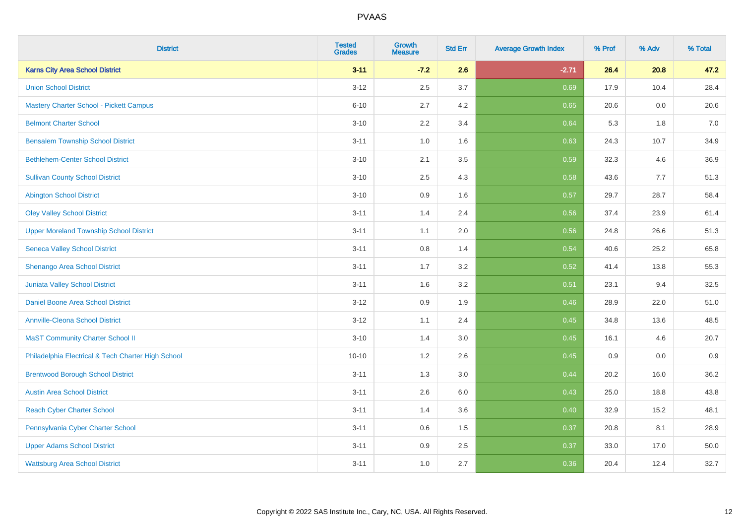| <b>District</b>                                    | <b>Tested</b><br><b>Grades</b> | <b>Growth</b><br><b>Measure</b> | <b>Std Err</b> | <b>Average Growth Index</b> | % Prof | % Adv | % Total |
|----------------------------------------------------|--------------------------------|---------------------------------|----------------|-----------------------------|--------|-------|---------|
| <b>Karns City Area School District</b>             | $3 - 11$                       | $-7.2$                          | 2.6            | $-2.71$                     | 26.4   | 20.8  | 47.2    |
| <b>Union School District</b>                       | $3 - 12$                       | 2.5                             | 3.7            | 0.69                        | 17.9   | 10.4  | 28.4    |
| <b>Mastery Charter School - Pickett Campus</b>     | $6 - 10$                       | 2.7                             | 4.2            | 0.65                        | 20.6   | 0.0   | 20.6    |
| <b>Belmont Charter School</b>                      | $3 - 10$                       | 2.2                             | 3.4            | 0.64                        | 5.3    | 1.8   | $7.0$   |
| <b>Bensalem Township School District</b>           | $3 - 11$                       | 1.0                             | 1.6            | 0.63                        | 24.3   | 10.7  | 34.9    |
| <b>Bethlehem-Center School District</b>            | $3 - 10$                       | 2.1                             | 3.5            | 0.59                        | 32.3   | 4.6   | 36.9    |
| <b>Sullivan County School District</b>             | $3 - 10$                       | 2.5                             | 4.3            | 0.58                        | 43.6   | 7.7   | 51.3    |
| <b>Abington School District</b>                    | $3 - 10$                       | 0.9                             | 1.6            | 0.57                        | 29.7   | 28.7  | 58.4    |
| <b>Oley Valley School District</b>                 | $3 - 11$                       | 1.4                             | 2.4            | 0.56                        | 37.4   | 23.9  | 61.4    |
| <b>Upper Moreland Township School District</b>     | $3 - 11$                       | 1.1                             | 2.0            | 0.56                        | 24.8   | 26.6  | 51.3    |
| <b>Seneca Valley School District</b>               | $3 - 11$                       | 0.8                             | 1.4            | 0.54                        | 40.6   | 25.2  | 65.8    |
| Shenango Area School District                      | $3 - 11$                       | 1.7                             | 3.2            | 0.52                        | 41.4   | 13.8  | 55.3    |
| Juniata Valley School District                     | $3 - 11$                       | 1.6                             | 3.2            | 0.51                        | 23.1   | 9.4   | 32.5    |
| Daniel Boone Area School District                  | $3 - 12$                       | 0.9                             | 1.9            | 0.46                        | 28.9   | 22.0  | 51.0    |
| <b>Annville-Cleona School District</b>             | $3 - 12$                       | 1.1                             | 2.4            | 0.45                        | 34.8   | 13.6  | 48.5    |
| <b>MaST Community Charter School II</b>            | $3 - 10$                       | 1.4                             | 3.0            | 0.45                        | 16.1   | 4.6   | 20.7    |
| Philadelphia Electrical & Tech Charter High School | $10 - 10$                      | 1.2                             | 2.6            | 0.45                        | 0.9    | 0.0   | 0.9     |
| <b>Brentwood Borough School District</b>           | $3 - 11$                       | 1.3                             | 3.0            | 0.44                        | 20.2   | 16.0  | 36.2    |
| <b>Austin Area School District</b>                 | $3 - 11$                       | 2.6                             | 6.0            | 0.43                        | 25.0   | 18.8  | 43.8    |
| <b>Reach Cyber Charter School</b>                  | $3 - 11$                       | 1.4                             | 3.6            | 0.40                        | 32.9   | 15.2  | 48.1    |
| Pennsylvania Cyber Charter School                  | $3 - 11$                       | 0.6                             | 1.5            | 0.37                        | 20.8   | 8.1   | 28.9    |
| <b>Upper Adams School District</b>                 | $3 - 11$                       | 0.9                             | 2.5            | 0.37                        | 33.0   | 17.0  | 50.0    |
| <b>Wattsburg Area School District</b>              | $3 - 11$                       | 1.0                             | 2.7            | 0.36                        | 20.4   | 12.4  | 32.7    |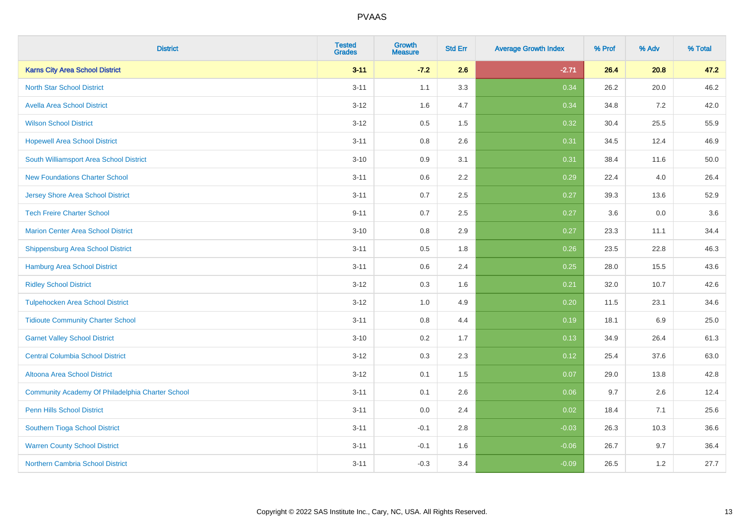| <b>District</b>                                  | <b>Tested</b><br><b>Grades</b> | <b>Growth</b><br><b>Measure</b> | <b>Std Err</b> | <b>Average Growth Index</b> | % Prof | % Adv | % Total |
|--------------------------------------------------|--------------------------------|---------------------------------|----------------|-----------------------------|--------|-------|---------|
| <b>Karns City Area School District</b>           | $3 - 11$                       | $-7.2$                          | 2.6            | $-2.71$                     | 26.4   | 20.8  | 47.2    |
| <b>North Star School District</b>                | $3 - 11$                       | 1.1                             | 3.3            | 0.34                        | 26.2   | 20.0  | 46.2    |
| <b>Avella Area School District</b>               | $3 - 12$                       | 1.6                             | 4.7            | 0.34                        | 34.8   | 7.2   | 42.0    |
| <b>Wilson School District</b>                    | $3 - 12$                       | 0.5                             | 1.5            | 0.32                        | 30.4   | 25.5  | 55.9    |
| <b>Hopewell Area School District</b>             | $3 - 11$                       | 0.8                             | 2.6            | 0.31                        | 34.5   | 12.4  | 46.9    |
| South Williamsport Area School District          | $3 - 10$                       | 0.9                             | 3.1            | 0.31                        | 38.4   | 11.6  | 50.0    |
| <b>New Foundations Charter School</b>            | $3 - 11$                       | 0.6                             | 2.2            | 0.29                        | 22.4   | 4.0   | 26.4    |
| <b>Jersey Shore Area School District</b>         | $3 - 11$                       | 0.7                             | 2.5            | 0.27                        | 39.3   | 13.6  | 52.9    |
| <b>Tech Freire Charter School</b>                | $9 - 11$                       | 0.7                             | 2.5            | 0.27                        | 3.6    | 0.0   | 3.6     |
| <b>Marion Center Area School District</b>        | $3 - 10$                       | 0.8                             | 2.9            | 0.27                        | 23.3   | 11.1  | 34.4    |
| <b>Shippensburg Area School District</b>         | $3 - 11$                       | 0.5                             | 1.8            | 0.26                        | 23.5   | 22.8  | 46.3    |
| <b>Hamburg Area School District</b>              | $3 - 11$                       | 0.6                             | 2.4            | 0.25                        | 28.0   | 15.5  | 43.6    |
| <b>Ridley School District</b>                    | $3 - 12$                       | 0.3                             | 1.6            | 0.21                        | 32.0   | 10.7  | 42.6    |
| <b>Tulpehocken Area School District</b>          | $3-12$                         | 1.0                             | 4.9            | 0.20                        | 11.5   | 23.1  | 34.6    |
| <b>Tidioute Community Charter School</b>         | $3 - 11$                       | 0.8                             | 4.4            | 0.19                        | 18.1   | 6.9   | 25.0    |
| <b>Garnet Valley School District</b>             | $3 - 10$                       | 0.2                             | 1.7            | 0.13                        | 34.9   | 26.4  | 61.3    |
| <b>Central Columbia School District</b>          | $3-12$                         | 0.3                             | 2.3            | 0.12                        | 25.4   | 37.6  | 63.0    |
| Altoona Area School District                     | $3 - 12$                       | 0.1                             | 1.5            | 0.07                        | 29.0   | 13.8  | 42.8    |
| Community Academy Of Philadelphia Charter School | $3 - 11$                       | 0.1                             | 2.6            | 0.06                        | 9.7    | 2.6   | 12.4    |
| Penn Hills School District                       | $3 - 11$                       | 0.0                             | 2.4            | 0.02                        | 18.4   | 7.1   | 25.6    |
| <b>Southern Tioga School District</b>            | $3 - 11$                       | $-0.1$                          | 2.8            | $-0.03$                     | 26.3   | 10.3  | 36.6    |
| <b>Warren County School District</b>             | $3 - 11$                       | $-0.1$                          | 1.6            | $-0.06$                     | 26.7   | 9.7   | 36.4    |
| <b>Northern Cambria School District</b>          | $3 - 11$                       | $-0.3$                          | 3.4            | $-0.09$                     | 26.5   | 1.2   | 27.7    |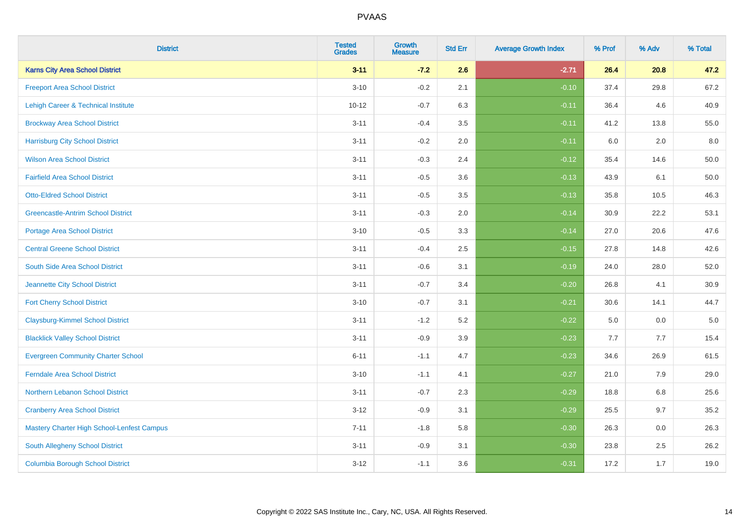| <b>District</b>                            | <b>Tested</b><br><b>Grades</b> | <b>Growth</b><br><b>Measure</b> | <b>Std Err</b> | <b>Average Growth Index</b> | % Prof | % Adv | % Total  |
|--------------------------------------------|--------------------------------|---------------------------------|----------------|-----------------------------|--------|-------|----------|
| <b>Karns City Area School District</b>     | $3 - 11$                       | $-7.2$                          | 2.6            | $-2.71$                     | 26.4   | 20.8  | 47.2     |
| <b>Freeport Area School District</b>       | $3 - 10$                       | $-0.2$                          | 2.1            | $-0.10$                     | 37.4   | 29.8  | 67.2     |
| Lehigh Career & Technical Institute        | $10 - 12$                      | $-0.7$                          | 6.3            | $-0.11$                     | 36.4   | 4.6   | 40.9     |
| <b>Brockway Area School District</b>       | $3 - 11$                       | $-0.4$                          | 3.5            | $-0.11$                     | 41.2   | 13.8  | 55.0     |
| <b>Harrisburg City School District</b>     | $3 - 11$                       | $-0.2$                          | 2.0            | $-0.11$                     | 6.0    | 2.0   | 8.0      |
| <b>Wilson Area School District</b>         | $3 - 11$                       | $-0.3$                          | 2.4            | $-0.12$                     | 35.4   | 14.6  | 50.0     |
| <b>Fairfield Area School District</b>      | $3 - 11$                       | $-0.5$                          | 3.6            | $-0.13$                     | 43.9   | 6.1   | $50.0\,$ |
| <b>Otto-Eldred School District</b>         | $3 - 11$                       | $-0.5$                          | 3.5            | $-0.13$                     | 35.8   | 10.5  | 46.3     |
| <b>Greencastle-Antrim School District</b>  | $3 - 11$                       | $-0.3$                          | 2.0            | $-0.14$                     | 30.9   | 22.2  | 53.1     |
| <b>Portage Area School District</b>        | $3 - 10$                       | $-0.5$                          | 3.3            | $-0.14$                     | 27.0   | 20.6  | 47.6     |
| <b>Central Greene School District</b>      | $3 - 11$                       | $-0.4$                          | 2.5            | $-0.15$                     | 27.8   | 14.8  | 42.6     |
| <b>South Side Area School District</b>     | $3 - 11$                       | $-0.6$                          | 3.1            | $-0.19$                     | 24.0   | 28.0  | 52.0     |
| Jeannette City School District             | $3 - 11$                       | $-0.7$                          | 3.4            | $-0.20$                     | 26.8   | 4.1   | 30.9     |
| <b>Fort Cherry School District</b>         | $3 - 10$                       | $-0.7$                          | 3.1            | $-0.21$                     | 30.6   | 14.1  | 44.7     |
| <b>Claysburg-Kimmel School District</b>    | $3 - 11$                       | $-1.2$                          | 5.2            | $-0.22$                     | 5.0    | 0.0   | $5.0\,$  |
| <b>Blacklick Valley School District</b>    | $3 - 11$                       | $-0.9$                          | 3.9            | $-0.23$                     | 7.7    | 7.7   | 15.4     |
| <b>Evergreen Community Charter School</b>  | $6 - 11$                       | $-1.1$                          | 4.7            | $-0.23$                     | 34.6   | 26.9  | 61.5     |
| <b>Ferndale Area School District</b>       | $3 - 10$                       | $-1.1$                          | 4.1            | $-0.27$                     | 21.0   | 7.9   | 29.0     |
| Northern Lebanon School District           | $3 - 11$                       | $-0.7$                          | 2.3            | $-0.29$                     | 18.8   | 6.8   | 25.6     |
| <b>Cranberry Area School District</b>      | $3 - 12$                       | $-0.9$                          | 3.1            | $-0.29$                     | 25.5   | 9.7   | 35.2     |
| Mastery Charter High School-Lenfest Campus | $7 - 11$                       | $-1.8$                          | 5.8            | $-0.30$                     | 26.3   | 0.0   | 26.3     |
| South Allegheny School District            | $3 - 11$                       | $-0.9$                          | 3.1            | $-0.30$                     | 23.8   | 2.5   | 26.2     |
| <b>Columbia Borough School District</b>    | $3-12$                         | $-1.1$                          | 3.6            | $-0.31$                     | 17.2   | 1.7   | 19.0     |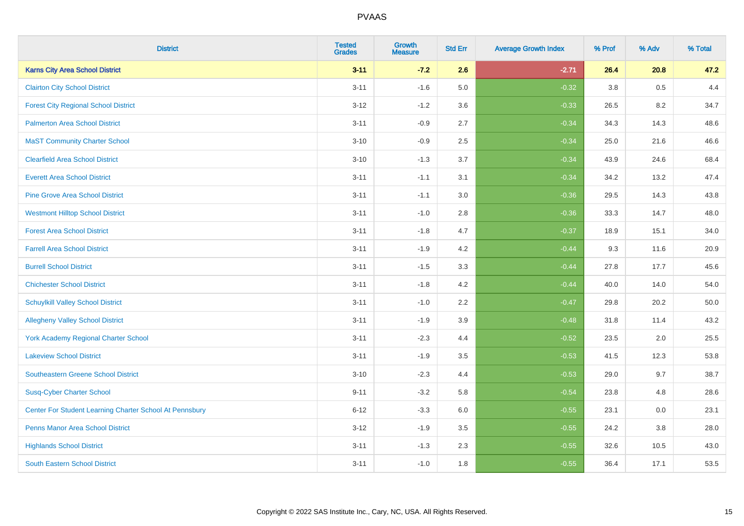| <b>District</b>                                         | <b>Tested</b><br><b>Grades</b> | <b>Growth</b><br><b>Measure</b> | <b>Std Err</b> | <b>Average Growth Index</b> | % Prof | % Adv | % Total |
|---------------------------------------------------------|--------------------------------|---------------------------------|----------------|-----------------------------|--------|-------|---------|
| <b>Karns City Area School District</b>                  | $3 - 11$                       | $-7.2$                          | 2.6            | $-2.71$                     | 26.4   | 20.8  | 47.2    |
| <b>Clairton City School District</b>                    | $3 - 11$                       | $-1.6$                          | 5.0            | $-0.32$                     | 3.8    | 0.5   | 4.4     |
| <b>Forest City Regional School District</b>             | $3 - 12$                       | $-1.2$                          | 3.6            | $-0.33$                     | 26.5   | 8.2   | 34.7    |
| <b>Palmerton Area School District</b>                   | $3 - 11$                       | $-0.9$                          | 2.7            | $-0.34$                     | 34.3   | 14.3  | 48.6    |
| <b>MaST Community Charter School</b>                    | $3 - 10$                       | $-0.9$                          | 2.5            | $-0.34$                     | 25.0   | 21.6  | 46.6    |
| <b>Clearfield Area School District</b>                  | $3 - 10$                       | $-1.3$                          | 3.7            | $-0.34$                     | 43.9   | 24.6  | 68.4    |
| <b>Everett Area School District</b>                     | $3 - 11$                       | $-1.1$                          | 3.1            | $-0.34$                     | 34.2   | 13.2  | 47.4    |
| <b>Pine Grove Area School District</b>                  | $3 - 11$                       | $-1.1$                          | 3.0            | $-0.36$                     | 29.5   | 14.3  | 43.8    |
| <b>Westmont Hilltop School District</b>                 | $3 - 11$                       | $-1.0$                          | 2.8            | $-0.36$                     | 33.3   | 14.7  | 48.0    |
| <b>Forest Area School District</b>                      | $3 - 11$                       | $-1.8$                          | 4.7            | $-0.37$                     | 18.9   | 15.1  | 34.0    |
| <b>Farrell Area School District</b>                     | $3 - 11$                       | $-1.9$                          | 4.2            | $-0.44$                     | 9.3    | 11.6  | 20.9    |
| <b>Burrell School District</b>                          | $3 - 11$                       | $-1.5$                          | 3.3            | $-0.44$                     | 27.8   | 17.7  | 45.6    |
| <b>Chichester School District</b>                       | $3 - 11$                       | $-1.8$                          | 4.2            | $-0.44$                     | 40.0   | 14.0  | 54.0    |
| <b>Schuylkill Valley School District</b>                | $3 - 11$                       | $-1.0$                          | 2.2            | $-0.47$                     | 29.8   | 20.2  | 50.0    |
| <b>Allegheny Valley School District</b>                 | $3 - 11$                       | $-1.9$                          | 3.9            | $-0.48$                     | 31.8   | 11.4  | 43.2    |
| <b>York Academy Regional Charter School</b>             | $3 - 11$                       | $-2.3$                          | 4.4            | $-0.52$                     | 23.5   | 2.0   | 25.5    |
| <b>Lakeview School District</b>                         | $3 - 11$                       | $-1.9$                          | 3.5            | $-0.53$                     | 41.5   | 12.3  | 53.8    |
| <b>Southeastern Greene School District</b>              | $3 - 10$                       | $-2.3$                          | 4.4            | $-0.53$                     | 29.0   | 9.7   | 38.7    |
| <b>Susq-Cyber Charter School</b>                        | $9 - 11$                       | $-3.2$                          | 5.8            | $-0.54$                     | 23.8   | 4.8   | 28.6    |
| Center For Student Learning Charter School At Pennsbury | $6 - 12$                       | $-3.3$                          | 6.0            | $-0.55$                     | 23.1   | 0.0   | 23.1    |
| <b>Penns Manor Area School District</b>                 | $3 - 12$                       | $-1.9$                          | 3.5            | $-0.55$                     | 24.2   | 3.8   | 28.0    |
| <b>Highlands School District</b>                        | $3 - 11$                       | $-1.3$                          | 2.3            | $-0.55$                     | 32.6   | 10.5  | 43.0    |
| <b>South Eastern School District</b>                    | $3 - 11$                       | $-1.0$                          | 1.8            | $-0.55$                     | 36.4   | 17.1  | 53.5    |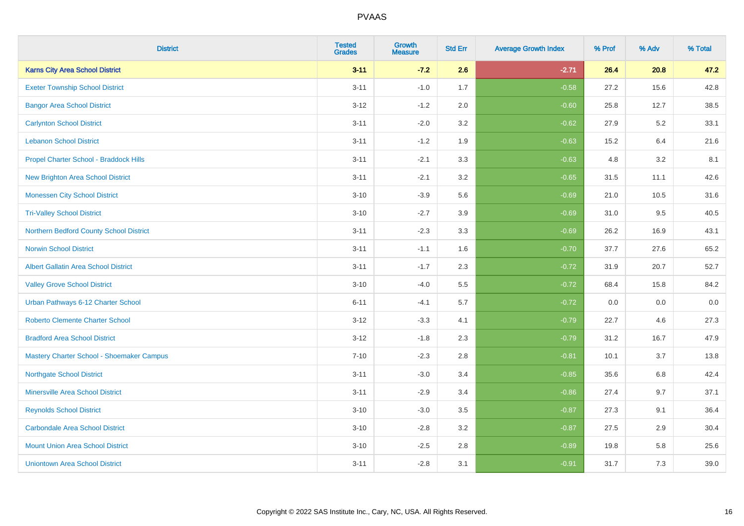| <b>District</b>                             | <b>Tested</b><br><b>Grades</b> | <b>Growth</b><br><b>Measure</b> | <b>Std Err</b> | <b>Average Growth Index</b> | % Prof | % Adv | % Total |
|---------------------------------------------|--------------------------------|---------------------------------|----------------|-----------------------------|--------|-------|---------|
| <b>Karns City Area School District</b>      | $3 - 11$                       | $-7.2$                          | 2.6            | $-2.71$                     | 26.4   | 20.8  | 47.2    |
| <b>Exeter Township School District</b>      | $3 - 11$                       | $-1.0$                          | 1.7            | $-0.58$                     | 27.2   | 15.6  | 42.8    |
| <b>Bangor Area School District</b>          | $3 - 12$                       | $-1.2$                          | 2.0            | $-0.60$                     | 25.8   | 12.7  | 38.5    |
| <b>Carlynton School District</b>            | $3 - 11$                       | $-2.0$                          | 3.2            | $-0.62$                     | 27.9   | 5.2   | 33.1    |
| <b>Lebanon School District</b>              | $3 - 11$                       | $-1.2$                          | 1.9            | $-0.63$                     | 15.2   | 6.4   | 21.6    |
| Propel Charter School - Braddock Hills      | $3 - 11$                       | $-2.1$                          | 3.3            | $-0.63$                     | 4.8    | 3.2   | 8.1     |
| <b>New Brighton Area School District</b>    | $3 - 11$                       | $-2.1$                          | 3.2            | $-0.65$                     | 31.5   | 11.1  | 42.6    |
| <b>Monessen City School District</b>        | $3 - 10$                       | $-3.9$                          | 5.6            | $-0.69$                     | 21.0   | 10.5  | 31.6    |
| <b>Tri-Valley School District</b>           | $3 - 10$                       | $-2.7$                          | 3.9            | $-0.69$                     | 31.0   | 9.5   | 40.5    |
| Northern Bedford County School District     | $3 - 11$                       | $-2.3$                          | 3.3            | $-0.69$                     | 26.2   | 16.9  | 43.1    |
| <b>Norwin School District</b>               | $3 - 11$                       | $-1.1$                          | 1.6            | $-0.70$                     | 37.7   | 27.6  | 65.2    |
| <b>Albert Gallatin Area School District</b> | $3 - 11$                       | $-1.7$                          | 2.3            | $-0.72$                     | 31.9   | 20.7  | 52.7    |
| <b>Valley Grove School District</b>         | $3 - 10$                       | $-4.0$                          | 5.5            | $-0.72$                     | 68.4   | 15.8  | 84.2    |
| Urban Pathways 6-12 Charter School          | $6 - 11$                       | $-4.1$                          | 5.7            | $-0.72$                     | 0.0    | 0.0   | $0.0\,$ |
| <b>Roberto Clemente Charter School</b>      | $3 - 12$                       | $-3.3$                          | 4.1            | $-0.79$                     | 22.7   | 4.6   | 27.3    |
| <b>Bradford Area School District</b>        | $3 - 12$                       | $-1.8$                          | 2.3            | $-0.79$                     | 31.2   | 16.7  | 47.9    |
| Mastery Charter School - Shoemaker Campus   | $7 - 10$                       | $-2.3$                          | 2.8            | $-0.81$                     | 10.1   | 3.7   | 13.8    |
| <b>Northgate School District</b>            | $3 - 11$                       | $-3.0$                          | 3.4            | $-0.85$                     | 35.6   | 6.8   | 42.4    |
| <b>Minersville Area School District</b>     | $3 - 11$                       | $-2.9$                          | 3.4            | $-0.86$                     | 27.4   | 9.7   | 37.1    |
| <b>Reynolds School District</b>             | $3 - 10$                       | $-3.0$                          | 3.5            | $-0.87$                     | 27.3   | 9.1   | 36.4    |
| <b>Carbondale Area School District</b>      | $3 - 10$                       | $-2.8$                          | 3.2            | $-0.87$                     | 27.5   | 2.9   | 30.4    |
| <b>Mount Union Area School District</b>     | $3 - 10$                       | $-2.5$                          | 2.8            | $-0.89$                     | 19.8   | 5.8   | 25.6    |
| <b>Uniontown Area School District</b>       | $3 - 11$                       | $-2.8$                          | 3.1            | $-0.91$                     | 31.7   | 7.3   | 39.0    |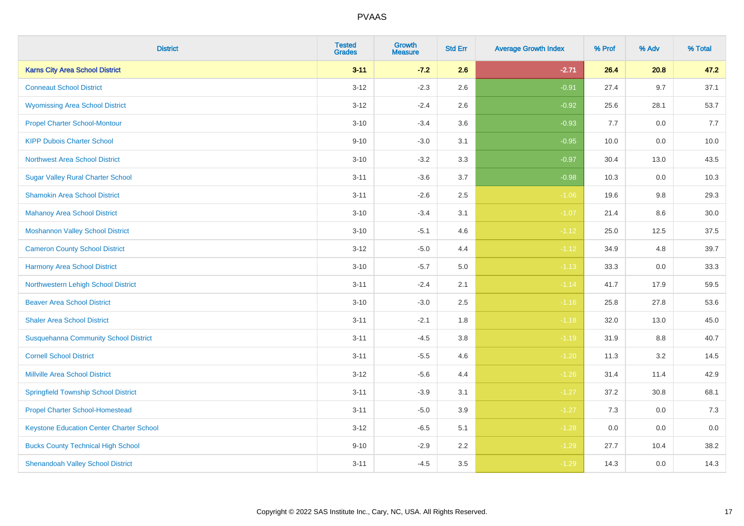| <b>District</b>                                 | <b>Tested</b><br><b>Grades</b> | <b>Growth</b><br><b>Measure</b> | <b>Std Err</b> | <b>Average Growth Index</b> | % Prof | % Adv   | % Total |
|-------------------------------------------------|--------------------------------|---------------------------------|----------------|-----------------------------|--------|---------|---------|
| <b>Karns City Area School District</b>          | $3 - 11$                       | $-7.2$                          | 2.6            | $-2.71$                     | 26.4   | 20.8    | 47.2    |
| <b>Conneaut School District</b>                 | $3-12$                         | $-2.3$                          | 2.6            | $-0.91$                     | 27.4   | 9.7     | 37.1    |
| <b>Wyomissing Area School District</b>          | $3 - 12$                       | $-2.4$                          | 2.6            | $-0.92$                     | 25.6   | 28.1    | 53.7    |
| <b>Propel Charter School-Montour</b>            | $3 - 10$                       | $-3.4$                          | 3.6            | $-0.93$                     | 7.7    | $0.0\,$ | 7.7     |
| <b>KIPP Dubois Charter School</b>               | $9 - 10$                       | $-3.0$                          | 3.1            | $-0.95$                     | 10.0   | 0.0     | 10.0    |
| <b>Northwest Area School District</b>           | $3 - 10$                       | $-3.2$                          | 3.3            | $-0.97$                     | 30.4   | 13.0    | 43.5    |
| <b>Sugar Valley Rural Charter School</b>        | $3 - 11$                       | $-3.6$                          | 3.7            | $-0.98$                     | 10.3   | 0.0     | 10.3    |
| <b>Shamokin Area School District</b>            | $3 - 11$                       | $-2.6$                          | 2.5            | $-1.06$                     | 19.6   | 9.8     | 29.3    |
| <b>Mahanoy Area School District</b>             | $3 - 10$                       | $-3.4$                          | 3.1            | $-1.07$                     | 21.4   | 8.6     | 30.0    |
| <b>Moshannon Valley School District</b>         | $3 - 10$                       | $-5.1$                          | 4.6            | $-1.12$                     | 25.0   | 12.5    | 37.5    |
| <b>Cameron County School District</b>           | $3 - 12$                       | $-5.0$                          | 4.4            | $-1.12$                     | 34.9   | 4.8     | 39.7    |
| <b>Harmony Area School District</b>             | $3 - 10$                       | $-5.7$                          | 5.0            | $-1.13$                     | 33.3   | 0.0     | 33.3    |
| Northwestern Lehigh School District             | $3 - 11$                       | $-2.4$                          | 2.1            | $-1.14$                     | 41.7   | 17.9    | 59.5    |
| <b>Beaver Area School District</b>              | $3 - 10$                       | $-3.0$                          | 2.5            | $-1.16$                     | 25.8   | 27.8    | 53.6    |
| <b>Shaler Area School District</b>              | $3 - 11$                       | $-2.1$                          | 1.8            | $-1.18$                     | 32.0   | 13.0    | 45.0    |
| <b>Susquehanna Community School District</b>    | $3 - 11$                       | $-4.5$                          | $3.8\,$        | $-1.19$                     | 31.9   | $8.8\,$ | 40.7    |
| <b>Cornell School District</b>                  | $3 - 11$                       | $-5.5$                          | 4.6            | $-1.20$                     | 11.3   | $3.2\,$ | 14.5    |
| <b>Millville Area School District</b>           | $3 - 12$                       | $-5.6$                          | 4.4            | $-1.26$                     | 31.4   | 11.4    | 42.9    |
| <b>Springfield Township School District</b>     | $3 - 11$                       | $-3.9$                          | 3.1            | $-1.27$                     | 37.2   | 30.8    | 68.1    |
| <b>Propel Charter School-Homestead</b>          | $3 - 11$                       | $-5.0$                          | 3.9            | $-1.27$                     | 7.3    | 0.0     | 7.3     |
| <b>Keystone Education Center Charter School</b> | $3 - 12$                       | $-6.5$                          | 5.1            | $-1.28$                     | 0.0    | 0.0     | 0.0     |
| <b>Bucks County Technical High School</b>       | $9 - 10$                       | $-2.9$                          | 2.2            | $-1.29$                     | 27.7   | 10.4    | 38.2    |
| <b>Shenandoah Valley School District</b>        | $3 - 11$                       | $-4.5$                          | 3.5            | $-1.29$                     | 14.3   | 0.0     | 14.3    |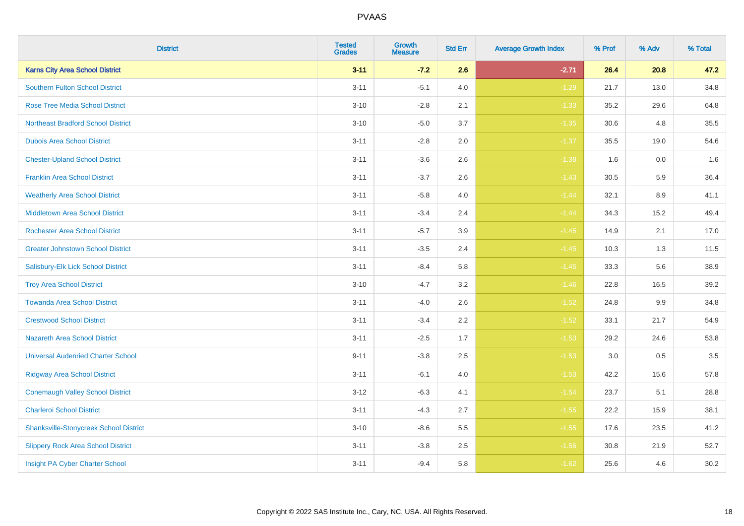| <b>District</b>                               | <b>Tested</b><br><b>Grades</b> | <b>Growth</b><br><b>Measure</b> | <b>Std Err</b> | <b>Average Growth Index</b> | % Prof | % Adv   | % Total |
|-----------------------------------------------|--------------------------------|---------------------------------|----------------|-----------------------------|--------|---------|---------|
| <b>Karns City Area School District</b>        | $3 - 11$                       | $-7.2$                          | 2.6            | $-2.71$                     | 26.4   | 20.8    | 47.2    |
| <b>Southern Fulton School District</b>        | $3 - 11$                       | $-5.1$                          | 4.0            | $-1.29$                     | 21.7   | 13.0    | 34.8    |
| <b>Rose Tree Media School District</b>        | $3 - 10$                       | $-2.8$                          | 2.1            | $-1.33$                     | 35.2   | 29.6    | 64.8    |
| <b>Northeast Bradford School District</b>     | $3 - 10$                       | $-5.0$                          | 3.7            | $-1.35$                     | 30.6   | 4.8     | 35.5    |
| <b>Dubois Area School District</b>            | $3 - 11$                       | $-2.8$                          | 2.0            | $-1.37$                     | 35.5   | 19.0    | 54.6    |
| <b>Chester-Upland School District</b>         | $3 - 11$                       | $-3.6$                          | 2.6            | $-1.38$                     | 1.6    | 0.0     | 1.6     |
| <b>Franklin Area School District</b>          | $3 - 11$                       | $-3.7$                          | 2.6            | $-1.43$                     | 30.5   | 5.9     | 36.4    |
| <b>Weatherly Area School District</b>         | $3 - 11$                       | $-5.8$                          | 4.0            | $-1.44$                     | 32.1   | 8.9     | 41.1    |
| <b>Middletown Area School District</b>        | $3 - 11$                       | $-3.4$                          | 2.4            | $-1.44$                     | 34.3   | 15.2    | 49.4    |
| Rochester Area School District                | $3 - 11$                       | $-5.7$                          | 3.9            | $-1.45$                     | 14.9   | 2.1     | 17.0    |
| <b>Greater Johnstown School District</b>      | $3 - 11$                       | $-3.5$                          | 2.4            | $-1.45$                     | 10.3   | 1.3     | 11.5    |
| Salisbury-Elk Lick School District            | $3 - 11$                       | $-8.4$                          | 5.8            | $-1.45$                     | 33.3   | 5.6     | 38.9    |
| <b>Troy Area School District</b>              | $3 - 10$                       | $-4.7$                          | 3.2            | $-1.46$                     | 22.8   | 16.5    | 39.2    |
| <b>Towanda Area School District</b>           | $3 - 11$                       | $-4.0$                          | 2.6            | $-1.52$                     | 24.8   | 9.9     | 34.8    |
| <b>Crestwood School District</b>              | $3 - 11$                       | $-3.4$                          | 2.2            | $-1.52$                     | 33.1   | 21.7    | 54.9    |
| <b>Nazareth Area School District</b>          | $3 - 11$                       | $-2.5$                          | 1.7            | $-1.53$                     | 29.2   | 24.6    | 53.8    |
| <b>Universal Audenried Charter School</b>     | $9 - 11$                       | $-3.8$                          | 2.5            | $-1.53$                     | 3.0    | $0.5\,$ | 3.5     |
| <b>Ridgway Area School District</b>           | $3 - 11$                       | $-6.1$                          | 4.0            | $-1.53$                     | 42.2   | 15.6    | 57.8    |
| <b>Conemaugh Valley School District</b>       | $3-12$                         | $-6.3$                          | 4.1            | $-1.54$                     | 23.7   | 5.1     | 28.8    |
| <b>Charleroi School District</b>              | $3 - 11$                       | $-4.3$                          | 2.7            | $-1.55$                     | 22.2   | 15.9    | 38.1    |
| <b>Shanksville-Stonycreek School District</b> | $3 - 10$                       | $-8.6$                          | 5.5            | $-1.55$                     | 17.6   | 23.5    | 41.2    |
| <b>Slippery Rock Area School District</b>     | $3 - 11$                       | $-3.8$                          | 2.5            | $-1.56$                     | 30.8   | 21.9    | 52.7    |
| Insight PA Cyber Charter School               | $3 - 11$                       | $-9.4$                          | 5.8            | $-1.62$                     | 25.6   | 4.6     | 30.2    |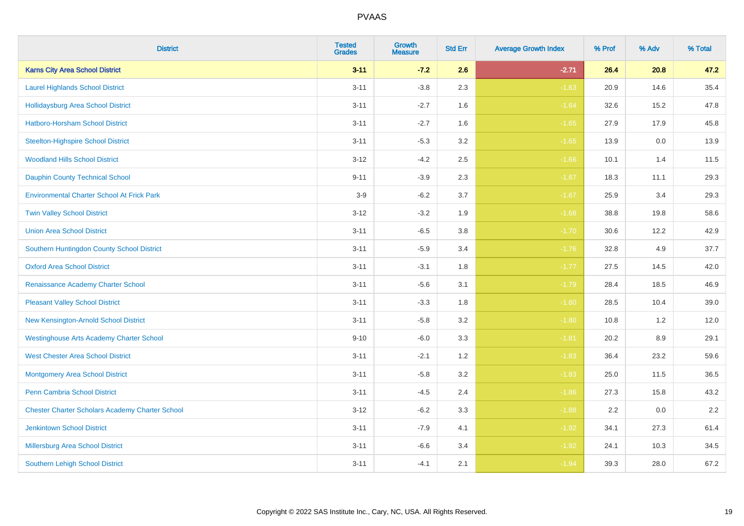| <b>District</b>                                        | <b>Tested</b><br><b>Grades</b> | <b>Growth</b><br><b>Measure</b> | <b>Std Err</b> | <b>Average Growth Index</b> | % Prof | % Adv | % Total |
|--------------------------------------------------------|--------------------------------|---------------------------------|----------------|-----------------------------|--------|-------|---------|
| <b>Karns City Area School District</b>                 | $3 - 11$                       | $-7.2$                          | 2.6            | $-2.71$                     | 26.4   | 20.8  | 47.2    |
| <b>Laurel Highlands School District</b>                | $3 - 11$                       | $-3.8$                          | 2.3            | $-1.63$                     | 20.9   | 14.6  | 35.4    |
| <b>Hollidaysburg Area School District</b>              | $3 - 11$                       | $-2.7$                          | 1.6            | $-1.64$                     | 32.6   | 15.2  | 47.8    |
| Hatboro-Horsham School District                        | $3 - 11$                       | $-2.7$                          | 1.6            | $-1.65$                     | 27.9   | 17.9  | 45.8    |
| <b>Steelton-Highspire School District</b>              | $3 - 11$                       | $-5.3$                          | 3.2            | $-1.65$                     | 13.9   | 0.0   | 13.9    |
| <b>Woodland Hills School District</b>                  | $3 - 12$                       | $-4.2$                          | 2.5            | $-1.66$                     | 10.1   | 1.4   | 11.5    |
| <b>Dauphin County Technical School</b>                 | $9 - 11$                       | $-3.9$                          | 2.3            | $-1.67$                     | 18.3   | 11.1  | 29.3    |
| <b>Environmental Charter School At Frick Park</b>      | $3-9$                          | $-6.2$                          | 3.7            | $-1.67$                     | 25.9   | 3.4   | 29.3    |
| <b>Twin Valley School District</b>                     | $3 - 12$                       | $-3.2$                          | 1.9            | $-1.68$                     | 38.8   | 19.8  | 58.6    |
| <b>Union Area School District</b>                      | $3 - 11$                       | $-6.5$                          | 3.8            | $-1.70$                     | 30.6   | 12.2  | 42.9    |
| Southern Huntingdon County School District             | $3 - 11$                       | $-5.9$                          | 3.4            | $-1.76$                     | 32.8   | 4.9   | 37.7    |
| <b>Oxford Area School District</b>                     | $3 - 11$                       | $-3.1$                          | 1.8            | $-1.77$                     | 27.5   | 14.5  | 42.0    |
| Renaissance Academy Charter School                     | $3 - 11$                       | $-5.6$                          | 3.1            | $-1.79$                     | 28.4   | 18.5  | 46.9    |
| <b>Pleasant Valley School District</b>                 | $3 - 11$                       | $-3.3$                          | 1.8            | $-1.80$                     | 28.5   | 10.4  | 39.0    |
| New Kensington-Arnold School District                  | $3 - 11$                       | $-5.8$                          | 3.2            | $-1.80$                     | 10.8   | 1.2   | 12.0    |
| <b>Westinghouse Arts Academy Charter School</b>        | $9 - 10$                       | $-6.0$                          | 3.3            | $-1.81$                     | 20.2   | 8.9   | 29.1    |
| <b>West Chester Area School District</b>               | $3 - 11$                       | $-2.1$                          | 1.2            | $-1.83$                     | 36.4   | 23.2  | 59.6    |
| Montgomery Area School District                        | $3 - 11$                       | $-5.8$                          | 3.2            | $-1.83$                     | 25.0   | 11.5  | 36.5    |
| Penn Cambria School District                           | $3 - 11$                       | $-4.5$                          | 2.4            | $-1.86$                     | 27.3   | 15.8  | 43.2    |
| <b>Chester Charter Scholars Academy Charter School</b> | $3 - 12$                       | $-6.2$                          | 3.3            | $-1.88$                     | 2.2    | 0.0   | 2.2     |
| <b>Jenkintown School District</b>                      | $3 - 11$                       | $-7.9$                          | 4.1            | $-1.92$                     | 34.1   | 27.3  | 61.4    |
| Millersburg Area School District                       | $3 - 11$                       | $-6.6$                          | 3.4            | $-1.92$                     | 24.1   | 10.3  | 34.5    |
| Southern Lehigh School District                        | $3 - 11$                       | $-4.1$                          | 2.1            | $-1.94$                     | 39.3   | 28.0  | 67.2    |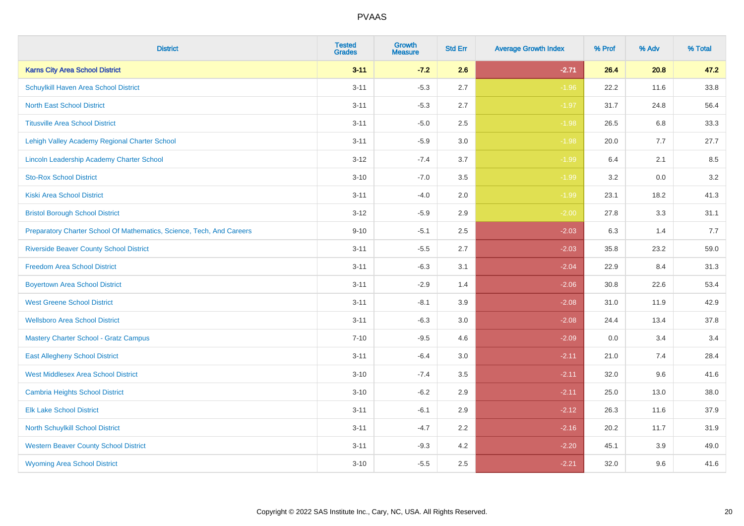| <b>District</b>                                                       | <b>Tested</b><br><b>Grades</b> | <b>Growth</b><br><b>Measure</b> | <b>Std Err</b> | <b>Average Growth Index</b> | % Prof | % Adv   | % Total |
|-----------------------------------------------------------------------|--------------------------------|---------------------------------|----------------|-----------------------------|--------|---------|---------|
| <b>Karns City Area School District</b>                                | $3 - 11$                       | $-7.2$                          | 2.6            | $-2.71$                     | 26.4   | 20.8    | 47.2    |
| Schuylkill Haven Area School District                                 | $3 - 11$                       | $-5.3$                          | 2.7            | $-1.96$                     | 22.2   | 11.6    | 33.8    |
| <b>North East School District</b>                                     | $3 - 11$                       | $-5.3$                          | 2.7            | $-1.97$                     | 31.7   | 24.8    | 56.4    |
| <b>Titusville Area School District</b>                                | $3 - 11$                       | $-5.0$                          | 2.5            | $-1.98$                     | 26.5   | 6.8     | 33.3    |
| Lehigh Valley Academy Regional Charter School                         | $3 - 11$                       | $-5.9$                          | 3.0            | $-1.98$                     | 20.0   | 7.7     | 27.7    |
| Lincoln Leadership Academy Charter School                             | $3 - 12$                       | $-7.4$                          | 3.7            | $-1.99$                     | 6.4    | 2.1     | 8.5     |
| <b>Sto-Rox School District</b>                                        | $3 - 10$                       | $-7.0$                          | 3.5            | $-1.99$                     | 3.2    | $0.0\,$ | 3.2     |
| <b>Kiski Area School District</b>                                     | $3 - 11$                       | $-4.0$                          | 2.0            | $-1.99$                     | 23.1   | 18.2    | 41.3    |
| <b>Bristol Borough School District</b>                                | $3 - 12$                       | $-5.9$                          | 2.9            | $-2.00$                     | 27.8   | 3.3     | 31.1    |
| Preparatory Charter School Of Mathematics, Science, Tech, And Careers | $9 - 10$                       | $-5.1$                          | $2.5\,$        | $-2.03$                     | 6.3    | 1.4     | 7.7     |
| <b>Riverside Beaver County School District</b>                        | $3 - 11$                       | $-5.5$                          | 2.7            | $-2.03$                     | 35.8   | 23.2    | 59.0    |
| <b>Freedom Area School District</b>                                   | $3 - 11$                       | $-6.3$                          | 3.1            | $-2.04$                     | 22.9   | 8.4     | 31.3    |
| <b>Boyertown Area School District</b>                                 | $3 - 11$                       | $-2.9$                          | 1.4            | $-2.06$                     | 30.8   | 22.6    | 53.4    |
| <b>West Greene School District</b>                                    | $3 - 11$                       | $-8.1$                          | 3.9            | $-2.08$                     | 31.0   | 11.9    | 42.9    |
| <b>Wellsboro Area School District</b>                                 | $3 - 11$                       | $-6.3$                          | 3.0            | $-2.08$                     | 24.4   | 13.4    | 37.8    |
| <b>Mastery Charter School - Gratz Campus</b>                          | $7 - 10$                       | $-9.5$                          | 4.6            | $-2.09$                     | 0.0    | 3.4     | 3.4     |
| <b>East Allegheny School District</b>                                 | $3 - 11$                       | $-6.4$                          | 3.0            | $-2.11$                     | 21.0   | 7.4     | 28.4    |
| <b>West Middlesex Area School District</b>                            | $3 - 10$                       | $-7.4$                          | 3.5            | $-2.11$                     | 32.0   | 9.6     | 41.6    |
| <b>Cambria Heights School District</b>                                | $3 - 10$                       | $-6.2$                          | 2.9            | $-2.11$                     | 25.0   | 13.0    | 38.0    |
| <b>Elk Lake School District</b>                                       | $3 - 11$                       | $-6.1$                          | 2.9            | $-2.12$                     | 26.3   | 11.6    | 37.9    |
| North Schuylkill School District                                      | $3 - 11$                       | $-4.7$                          | 2.2            | $-2.16$                     | 20.2   | 11.7    | 31.9    |
| <b>Western Beaver County School District</b>                          | $3 - 11$                       | $-9.3$                          | 4.2            | $-2.20$                     | 45.1   | 3.9     | 49.0    |
| <b>Wyoming Area School District</b>                                   | $3 - 10$                       | $-5.5$                          | 2.5            | $-2.21$                     | 32.0   | 9.6     | 41.6    |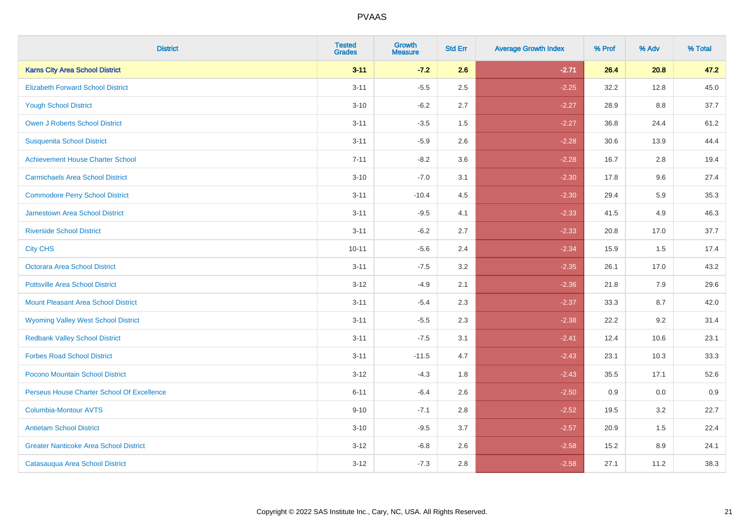| <b>District</b>                               | <b>Tested</b><br><b>Grades</b> | <b>Growth</b><br><b>Measure</b> | <b>Std Err</b> | <b>Average Growth Index</b> | % Prof | % Adv   | % Total |
|-----------------------------------------------|--------------------------------|---------------------------------|----------------|-----------------------------|--------|---------|---------|
| <b>Karns City Area School District</b>        | $3 - 11$                       | $-7.2$                          | 2.6            | $-2.71$                     | 26.4   | 20.8    | 47.2    |
| <b>Elizabeth Forward School District</b>      | $3 - 11$                       | $-5.5$                          | 2.5            | $-2.25$                     | 32.2   | 12.8    | 45.0    |
| <b>Yough School District</b>                  | $3 - 10$                       | $-6.2$                          | 2.7            | $-2.27$                     | 28.9   | $8.8\,$ | 37.7    |
| <b>Owen J Roberts School District</b>         | $3 - 11$                       | $-3.5$                          | 1.5            | $-2.27$                     | 36.8   | 24.4    | 61.2    |
| <b>Susquenita School District</b>             | $3 - 11$                       | $-5.9$                          | 2.6            | $-2.28$                     | 30.6   | 13.9    | 44.4    |
| <b>Achievement House Charter School</b>       | $7 - 11$                       | $-8.2$                          | 3.6            | $-2.28$                     | 16.7   | 2.8     | 19.4    |
| <b>Carmichaels Area School District</b>       | $3 - 10$                       | $-7.0$                          | 3.1            | $-2.30$                     | 17.8   | 9.6     | 27.4    |
| <b>Commodore Perry School District</b>        | $3 - 11$                       | $-10.4$                         | 4.5            | $-2.30$                     | 29.4   | 5.9     | 35.3    |
| <b>Jamestown Area School District</b>         | $3 - 11$                       | $-9.5$                          | 4.1            | $-2.33$                     | 41.5   | 4.9     | 46.3    |
| <b>Riverside School District</b>              | $3 - 11$                       | $-6.2$                          | 2.7            | $-2.33$                     | 20.8   | 17.0    | 37.7    |
| <b>City CHS</b>                               | $10 - 11$                      | $-5.6$                          | 2.4            | $-2.34$                     | 15.9   | 1.5     | 17.4    |
| Octorara Area School District                 | $3 - 11$                       | $-7.5$                          | 3.2            | $-2.35$                     | 26.1   | 17.0    | 43.2    |
| <b>Pottsville Area School District</b>        | $3 - 12$                       | $-4.9$                          | 2.1            | $-2.36$                     | 21.8   | 7.9     | 29.6    |
| <b>Mount Pleasant Area School District</b>    | $3 - 11$                       | $-5.4$                          | 2.3            | $-2.37$                     | 33.3   | 8.7     | 42.0    |
| <b>Wyoming Valley West School District</b>    | $3 - 11$                       | $-5.5$                          | 2.3            | $-2.38$                     | 22.2   | 9.2     | 31.4    |
| <b>Redbank Valley School District</b>         | $3 - 11$                       | $-7.5$                          | 3.1            | $-2.41$                     | 12.4   | 10.6    | 23.1    |
| <b>Forbes Road School District</b>            | $3 - 11$                       | $-11.5$                         | 4.7            | $-2.43$                     | 23.1   | 10.3    | 33.3    |
| Pocono Mountain School District               | $3 - 12$                       | $-4.3$                          | 1.8            | $-2.43$                     | 35.5   | 17.1    | 52.6    |
| Perseus House Charter School Of Excellence    | $6 - 11$                       | $-6.4$                          | 2.6            | $-2.50$                     | 0.9    | 0.0     | 0.9     |
| <b>Columbia-Montour AVTS</b>                  | $9 - 10$                       | $-7.1$                          | 2.8            | $-2.52$                     | 19.5   | 3.2     | 22.7    |
| <b>Antietam School District</b>               | $3 - 10$                       | $-9.5$                          | 3.7            | $-2.57$                     | 20.9   | 1.5     | 22.4    |
| <b>Greater Nanticoke Area School District</b> | $3 - 12$                       | $-6.8$                          | 2.6            | $-2.58$                     | 15.2   | 8.9     | 24.1    |
| Catasauqua Area School District               | $3-12$                         | $-7.3$                          | 2.8            | $-2.58$                     | 27.1   | 11.2    | 38.3    |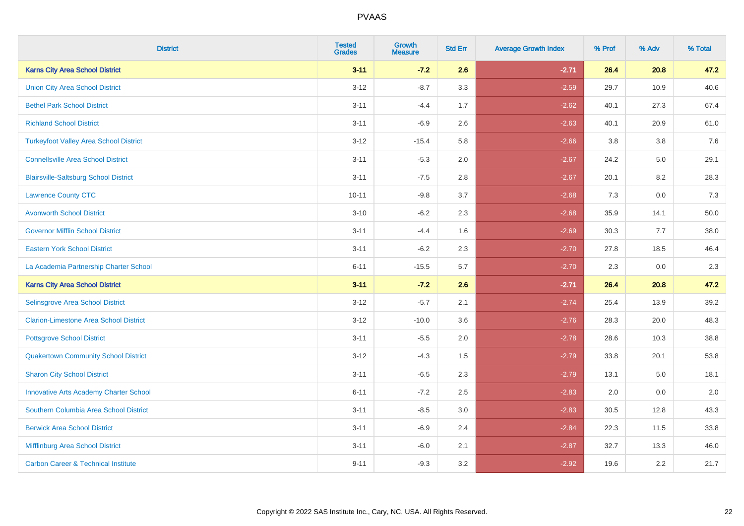| <b>District</b>                                | <b>Tested</b><br><b>Grades</b> | <b>Growth</b><br><b>Measure</b> | <b>Std Err</b> | <b>Average Growth Index</b> | % Prof | % Adv | % Total |
|------------------------------------------------|--------------------------------|---------------------------------|----------------|-----------------------------|--------|-------|---------|
| <b>Karns City Area School District</b>         | $3 - 11$                       | $-7.2$                          | 2.6            | $-2.71$                     | 26.4   | 20.8  | 47.2    |
| <b>Union City Area School District</b>         | $3 - 12$                       | $-8.7$                          | 3.3            | $-2.59$                     | 29.7   | 10.9  | 40.6    |
| <b>Bethel Park School District</b>             | $3 - 11$                       | $-4.4$                          | 1.7            | $-2.62$                     | 40.1   | 27.3  | 67.4    |
| <b>Richland School District</b>                | $3 - 11$                       | $-6.9$                          | 2.6            | $-2.63$                     | 40.1   | 20.9  | 61.0    |
| <b>Turkeyfoot Valley Area School District</b>  | $3 - 12$                       | $-15.4$                         | 5.8            | $-2.66$                     | 3.8    | 3.8   | 7.6     |
| <b>Connellsville Area School District</b>      | $3 - 11$                       | $-5.3$                          | 2.0            | $-2.67$                     | 24.2   | 5.0   | 29.1    |
| <b>Blairsville-Saltsburg School District</b>   | $3 - 11$                       | $-7.5$                          | 2.8            | $-2.67$                     | 20.1   | 8.2   | 28.3    |
| <b>Lawrence County CTC</b>                     | $10 - 11$                      | $-9.8$                          | 3.7            | $-2.68$                     | 7.3    | 0.0   | 7.3     |
| <b>Avonworth School District</b>               | $3 - 10$                       | $-6.2$                          | 2.3            | $-2.68$                     | 35.9   | 14.1  | 50.0    |
| <b>Governor Mifflin School District</b>        | $3 - 11$                       | $-4.4$                          | 1.6            | $-2.69$                     | 30.3   | 7.7   | 38.0    |
| <b>Eastern York School District</b>            | $3 - 11$                       | $-6.2$                          | 2.3            | $-2.70$                     | 27.8   | 18.5  | 46.4    |
| La Academia Partnership Charter School         | $6 - 11$                       | $-15.5$                         | 5.7            | $-2.70$                     | 2.3    | 0.0   | 2.3     |
| <b>Karns City Area School District</b>         | $3 - 11$                       | $-7.2$                          | 2.6            | $-2.71$                     | 26.4   | 20.8  | 47.2    |
| Selinsgrove Area School District               | $3 - 12$                       | $-5.7$                          | 2.1            | $-2.74$                     | 25.4   | 13.9  | 39.2    |
| <b>Clarion-Limestone Area School District</b>  | $3 - 12$                       | $-10.0$                         | 3.6            | $-2.76$                     | 28.3   | 20.0  | 48.3    |
| <b>Pottsgrove School District</b>              | $3 - 11$                       | $-5.5$                          | 2.0            | $-2.78$                     | 28.6   | 10.3  | 38.8    |
| <b>Quakertown Community School District</b>    | $3 - 12$                       | $-4.3$                          | 1.5            | $-2.79$                     | 33.8   | 20.1  | 53.8    |
| <b>Sharon City School District</b>             | $3 - 11$                       | $-6.5$                          | 2.3            | $-2.79$                     | 13.1   | 5.0   | 18.1    |
| <b>Innovative Arts Academy Charter School</b>  | $6 - 11$                       | $-7.2$                          | 2.5            | $-2.83$                     | 2.0    | 0.0   | 2.0     |
| Southern Columbia Area School District         | $3 - 11$                       | $-8.5$                          | 3.0            | $-2.83$                     | 30.5   | 12.8  | 43.3    |
| <b>Berwick Area School District</b>            | $3 - 11$                       | $-6.9$                          | 2.4            | $-2.84$                     | 22.3   | 11.5  | 33.8    |
| Mifflinburg Area School District               | $3 - 11$                       | $-6.0$                          | 2.1            | $-2.87$                     | 32.7   | 13.3  | 46.0    |
| <b>Carbon Career &amp; Technical Institute</b> | $9 - 11$                       | $-9.3$                          | 3.2            | $-2.92$                     | 19.6   | 2.2   | 21.7    |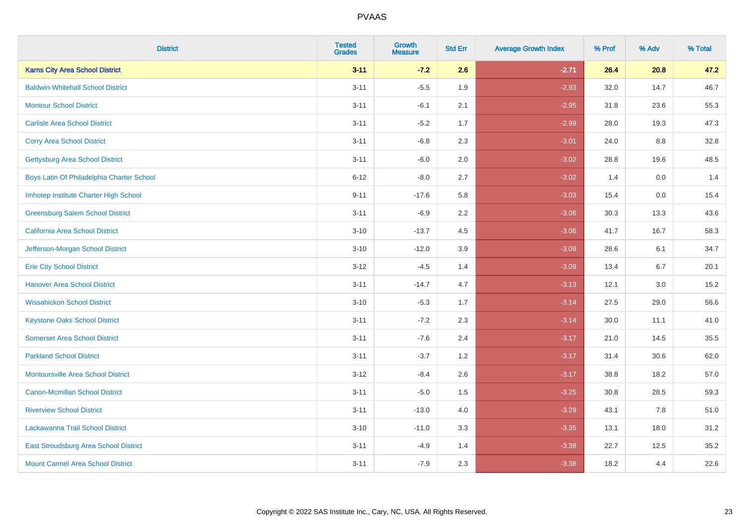| <b>District</b>                           | <b>Tested</b><br><b>Grades</b> | <b>Growth</b><br><b>Measure</b> | <b>Std Err</b> | <b>Average Growth Index</b> | % Prof | % Adv | % Total |
|-------------------------------------------|--------------------------------|---------------------------------|----------------|-----------------------------|--------|-------|---------|
| <b>Karns City Area School District</b>    | $3 - 11$                       | $-7.2$                          | 2.6            | $-2.71$                     | 26.4   | 20.8  | 47.2    |
| <b>Baldwin-Whitehall School District</b>  | $3 - 11$                       | $-5.5$                          | 1.9            | $-2.93$                     | 32.0   | 14.7  | 46.7    |
| <b>Montour School District</b>            | $3 - 11$                       | $-6.1$                          | 2.1            | $-2.95$                     | 31.8   | 23.6  | 55.3    |
| <b>Carlisle Area School District</b>      | $3 - 11$                       | $-5.2$                          | 1.7            | $-2.99$                     | 28.0   | 19.3  | 47.3    |
| <b>Corry Area School District</b>         | $3 - 11$                       | $-6.8$                          | 2.3            | $-3.01$                     | 24.0   | 8.8   | 32.8    |
| <b>Gettysburg Area School District</b>    | $3 - 11$                       | $-6.0$                          | 2.0            | $-3.02$                     | 28.8   | 19.6  | 48.5    |
| Boys Latin Of Philadelphia Charter School | $6 - 12$                       | $-8.0$                          | 2.7            | $-3.02$                     | 1.4    | 0.0   | 1.4     |
| Imhotep Institute Charter High School     | $9 - 11$                       | $-17.6$                         | 5.8            | $-3.03$                     | 15.4   | 0.0   | 15.4    |
| <b>Greensburg Salem School District</b>   | $3 - 11$                       | $-6.9$                          | 2.2            | $-3.06$                     | 30.3   | 13.3  | 43.6    |
| <b>California Area School District</b>    | $3 - 10$                       | $-13.7$                         | 4.5            | $-3.06$                     | 41.7   | 16.7  | 58.3    |
| Jefferson-Morgan School District          | $3 - 10$                       | $-12.0$                         | 3.9            | $-3.09$                     | 28.6   | 6.1   | 34.7    |
| <b>Erie City School District</b>          | $3 - 12$                       | $-4.5$                          | 1.4            | $-3.09$                     | 13.4   | 6.7   | 20.1    |
| <b>Hanover Area School District</b>       | $3 - 11$                       | $-14.7$                         | 4.7            | $-3.13$                     | 12.1   | 3.0   | 15.2    |
| <b>Wissahickon School District</b>        | $3 - 10$                       | $-5.3$                          | 1.7            | $-3.14$                     | 27.5   | 29.0  | 56.6    |
| <b>Keystone Oaks School District</b>      | $3 - 11$                       | $-7.2$                          | 2.3            | $-3.14$                     | 30.0   | 11.1  | 41.0    |
| <b>Somerset Area School District</b>      | $3 - 11$                       | $-7.6$                          | 2.4            | $-3.17$                     | 21.0   | 14.5  | 35.5    |
| <b>Parkland School District</b>           | $3 - 11$                       | $-3.7$                          | 1.2            | $-3.17$                     | 31.4   | 30.6  | 62.0    |
| Montoursville Area School District        | $3-12$                         | $-8.4$                          | 2.6            | $-3.17$                     | 38.8   | 18.2  | 57.0    |
| <b>Canon-Mcmillan School District</b>     | $3 - 11$                       | $-5.0$                          | 1.5            | $-3.25$                     | 30.8   | 28.5  | 59.3    |
| <b>Riverview School District</b>          | $3 - 11$                       | $-13.0$                         | 4.0            | $-3.29$                     | 43.1   | 7.8   | 51.0    |
| Lackawanna Trail School District          | $3 - 10$                       | $-11.0$                         | 3.3            | $-3.35$                     | 13.1   | 18.0  | 31.2    |
| East Stroudsburg Area School District     | $3 - 11$                       | $-4.9$                          | 1.4            | $-3.38$                     | 22.7   | 12.5  | 35.2    |
| <b>Mount Carmel Area School District</b>  | $3 - 11$                       | $-7.9$                          | 2.3            | $-3.38$                     | 18.2   | 4.4   | 22.6    |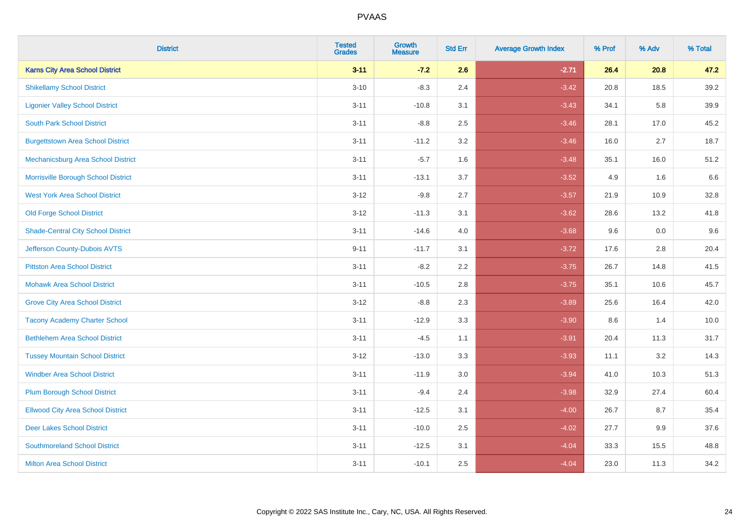| <b>District</b>                           | <b>Tested</b><br><b>Grades</b> | <b>Growth</b><br><b>Measure</b> | <b>Std Err</b> | <b>Average Growth Index</b> | % Prof | % Adv   | % Total |
|-------------------------------------------|--------------------------------|---------------------------------|----------------|-----------------------------|--------|---------|---------|
| <b>Karns City Area School District</b>    | $3 - 11$                       | $-7.2$                          | 2.6            | $-2.71$                     | 26.4   | 20.8    | 47.2    |
| <b>Shikellamy School District</b>         | $3 - 10$                       | $-8.3$                          | 2.4            | $-3.42$                     | 20.8   | 18.5    | 39.2    |
| <b>Ligonier Valley School District</b>    | $3 - 11$                       | $-10.8$                         | 3.1            | $-3.43$                     | 34.1   | 5.8     | 39.9    |
| <b>South Park School District</b>         | $3 - 11$                       | $-8.8$                          | 2.5            | $-3.46$                     | 28.1   | 17.0    | 45.2    |
| <b>Burgettstown Area School District</b>  | $3 - 11$                       | $-11.2$                         | 3.2            | $-3.46$                     | 16.0   | 2.7     | 18.7    |
| Mechanicsburg Area School District        | $3 - 11$                       | $-5.7$                          | 1.6            | $-3.48$                     | 35.1   | 16.0    | 51.2    |
| Morrisville Borough School District       | $3 - 11$                       | $-13.1$                         | 3.7            | $-3.52$                     | 4.9    | 1.6     | 6.6     |
| <b>West York Area School District</b>     | $3 - 12$                       | $-9.8$                          | 2.7            | $-3.57$                     | 21.9   | 10.9    | 32.8    |
| <b>Old Forge School District</b>          | $3 - 12$                       | $-11.3$                         | 3.1            | $-3.62$                     | 28.6   | 13.2    | 41.8    |
| <b>Shade-Central City School District</b> | $3 - 11$                       | $-14.6$                         | 4.0            | $-3.68$                     | 9.6    | 0.0     | 9.6     |
| Jefferson County-Dubois AVTS              | $9 - 11$                       | $-11.7$                         | 3.1            | $-3.72$                     | 17.6   | 2.8     | 20.4    |
| <b>Pittston Area School District</b>      | $3 - 11$                       | $-8.2$                          | 2.2            | $-3.75$                     | 26.7   | 14.8    | 41.5    |
| <b>Mohawk Area School District</b>        | $3 - 11$                       | $-10.5$                         | 2.8            | $-3.75$                     | 35.1   | 10.6    | 45.7    |
| <b>Grove City Area School District</b>    | $3 - 12$                       | $-8.8$                          | 2.3            | $-3.89$                     | 25.6   | 16.4    | 42.0    |
| <b>Tacony Academy Charter School</b>      | $3 - 11$                       | $-12.9$                         | 3.3            | $-3.90$                     | 8.6    | 1.4     | 10.0    |
| <b>Bethlehem Area School District</b>     | $3 - 11$                       | $-4.5$                          | 1.1            | $-3.91$                     | 20.4   | 11.3    | 31.7    |
| <b>Tussey Mountain School District</b>    | $3 - 12$                       | $-13.0$                         | 3.3            | $-3.93$                     | 11.1   | $3.2\,$ | 14.3    |
| <b>Windber Area School District</b>       | $3 - 11$                       | $-11.9$                         | 3.0            | $-3.94$                     | 41.0   | 10.3    | 51.3    |
| <b>Plum Borough School District</b>       | $3 - 11$                       | $-9.4$                          | 2.4            | $-3.98$                     | 32.9   | 27.4    | 60.4    |
| <b>Ellwood City Area School District</b>  | $3 - 11$                       | $-12.5$                         | 3.1            | $-4.00$                     | 26.7   | 8.7     | 35.4    |
| <b>Deer Lakes School District</b>         | $3 - 11$                       | $-10.0$                         | 2.5            | $-4.02$                     | 27.7   | 9.9     | 37.6    |
| <b>Southmoreland School District</b>      | $3 - 11$                       | $-12.5$                         | 3.1            | $-4.04$                     | 33.3   | 15.5    | 48.8    |
| <b>Milton Area School District</b>        | $3 - 11$                       | $-10.1$                         | 2.5            | $-4.04$                     | 23.0   | 11.3    | 34.2    |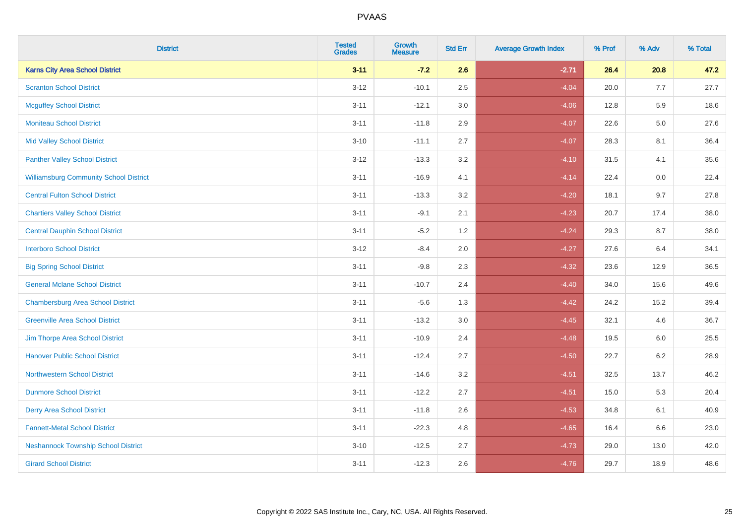| <b>District</b>                               | <b>Tested</b><br>Grades | <b>Growth</b><br><b>Measure</b> | <b>Std Err</b> | <b>Average Growth Index</b> | % Prof | % Adv   | % Total |
|-----------------------------------------------|-------------------------|---------------------------------|----------------|-----------------------------|--------|---------|---------|
| <b>Karns City Area School District</b>        | $3 - 11$                | $-7.2$                          | 2.6            | $-2.71$                     | 26.4   | 20.8    | 47.2    |
| <b>Scranton School District</b>               | $3 - 12$                | $-10.1$                         | 2.5            | $-4.04$                     | 20.0   | 7.7     | 27.7    |
| <b>Mcguffey School District</b>               | $3 - 11$                | $-12.1$                         | 3.0            | $-4.06$                     | 12.8   | 5.9     | 18.6    |
| <b>Moniteau School District</b>               | $3 - 11$                | $-11.8$                         | 2.9            | $-4.07$                     | 22.6   | $5.0\,$ | 27.6    |
| <b>Mid Valley School District</b>             | $3 - 10$                | $-11.1$                         | 2.7            | $-4.07$                     | 28.3   | 8.1     | 36.4    |
| <b>Panther Valley School District</b>         | $3 - 12$                | $-13.3$                         | 3.2            | $-4.10$                     | 31.5   | 4.1     | 35.6    |
| <b>Williamsburg Community School District</b> | $3 - 11$                | $-16.9$                         | 4.1            | $-4.14$                     | 22.4   | 0.0     | 22.4    |
| <b>Central Fulton School District</b>         | $3 - 11$                | $-13.3$                         | 3.2            | $-4.20$                     | 18.1   | 9.7     | 27.8    |
| <b>Chartiers Valley School District</b>       | $3 - 11$                | $-9.1$                          | 2.1            | $-4.23$                     | 20.7   | 17.4    | 38.0    |
| <b>Central Dauphin School District</b>        | $3 - 11$                | $-5.2$                          | 1.2            | $-4.24$                     | 29.3   | 8.7     | 38.0    |
| <b>Interboro School District</b>              | $3-12$                  | $-8.4$                          | 2.0            | $-4.27$                     | 27.6   | 6.4     | 34.1    |
| <b>Big Spring School District</b>             | $3 - 11$                | $-9.8$                          | 2.3            | $-4.32$                     | 23.6   | 12.9    | 36.5    |
| <b>General Mclane School District</b>         | $3 - 11$                | $-10.7$                         | 2.4            | $-4.40$                     | 34.0   | 15.6    | 49.6    |
| <b>Chambersburg Area School District</b>      | $3 - 11$                | $-5.6$                          | 1.3            | $-4.42$                     | 24.2   | 15.2    | 39.4    |
| <b>Greenville Area School District</b>        | $3 - 11$                | $-13.2$                         | $3.0\,$        | $-4.45$                     | 32.1   | 4.6     | 36.7    |
| Jim Thorpe Area School District               | $3 - 11$                | $-10.9$                         | 2.4            | $-4.48$                     | 19.5   | 6.0     | 25.5    |
| <b>Hanover Public School District</b>         | $3 - 11$                | $-12.4$                         | 2.7            | $-4.50$                     | 22.7   | $6.2\,$ | 28.9    |
| <b>Northwestern School District</b>           | $3 - 11$                | $-14.6$                         | 3.2            | $-4.51$                     | 32.5   | 13.7    | 46.2    |
| <b>Dunmore School District</b>                | $3 - 11$                | $-12.2$                         | 2.7            | $-4.51$                     | 15.0   | 5.3     | 20.4    |
| <b>Derry Area School District</b>             | $3 - 11$                | $-11.8$                         | 2.6            | $-4.53$                     | 34.8   | 6.1     | 40.9    |
| <b>Fannett-Metal School District</b>          | $3 - 11$                | $-22.3$                         | 4.8            | $-4.65$                     | 16.4   | 6.6     | 23.0    |
| <b>Neshannock Township School District</b>    | $3 - 10$                | $-12.5$                         | 2.7            | $-4.73$                     | 29.0   | 13.0    | 42.0    |
| <b>Girard School District</b>                 | $3 - 11$                | $-12.3$                         | 2.6            | $-4.76$                     | 29.7   | 18.9    | 48.6    |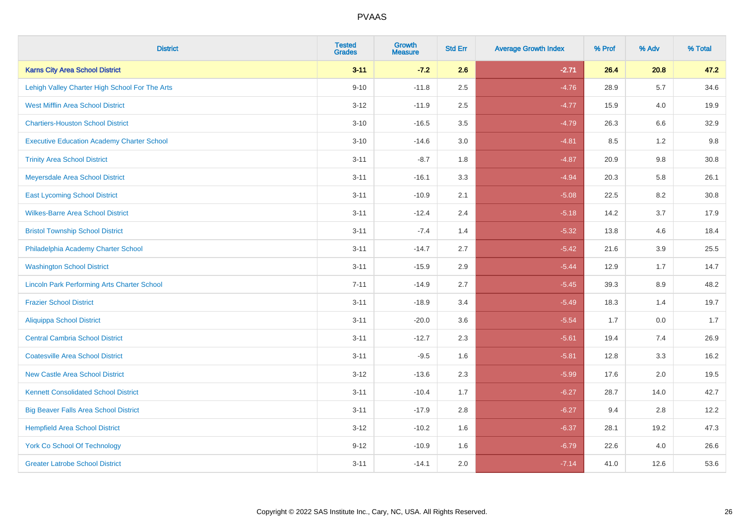| <b>District</b>                                    | <b>Tested</b><br><b>Grades</b> | <b>Growth</b><br><b>Measure</b> | <b>Std Err</b> | <b>Average Growth Index</b> | % Prof | % Adv   | % Total |
|----------------------------------------------------|--------------------------------|---------------------------------|----------------|-----------------------------|--------|---------|---------|
| <b>Karns City Area School District</b>             | $3 - 11$                       | $-7.2$                          | 2.6            | $-2.71$                     | 26.4   | 20.8    | 47.2    |
| Lehigh Valley Charter High School For The Arts     | $9 - 10$                       | $-11.8$                         | 2.5            | $-4.76$                     | 28.9   | 5.7     | 34.6    |
| <b>West Mifflin Area School District</b>           | $3 - 12$                       | $-11.9$                         | 2.5            | $-4.77$                     | 15.9   | 4.0     | 19.9    |
| <b>Chartiers-Houston School District</b>           | $3 - 10$                       | $-16.5$                         | 3.5            | $-4.79$                     | 26.3   | 6.6     | 32.9    |
| <b>Executive Education Academy Charter School</b>  | $3 - 10$                       | $-14.6$                         | 3.0            | $-4.81$                     | 8.5    | 1.2     | 9.8     |
| <b>Trinity Area School District</b>                | $3 - 11$                       | $-8.7$                          | 1.8            | $-4.87$                     | 20.9   | 9.8     | 30.8    |
| Meyersdale Area School District                    | $3 - 11$                       | $-16.1$                         | 3.3            | $-4.94$                     | 20.3   | 5.8     | 26.1    |
| <b>East Lycoming School District</b>               | $3 - 11$                       | $-10.9$                         | 2.1            | $-5.08$                     | 22.5   | 8.2     | 30.8    |
| <b>Wilkes-Barre Area School District</b>           | $3 - 11$                       | $-12.4$                         | 2.4            | $-5.18$                     | 14.2   | 3.7     | 17.9    |
| <b>Bristol Township School District</b>            | $3 - 11$                       | $-7.4$                          | 1.4            | $-5.32$                     | 13.8   | 4.6     | 18.4    |
| Philadelphia Academy Charter School                | $3 - 11$                       | $-14.7$                         | 2.7            | $-5.42$                     | 21.6   | 3.9     | 25.5    |
| <b>Washington School District</b>                  | $3 - 11$                       | $-15.9$                         | 2.9            | $-5.44$                     | 12.9   | 1.7     | 14.7    |
| <b>Lincoln Park Performing Arts Charter School</b> | $7 - 11$                       | $-14.9$                         | 2.7            | $-5.45$                     | 39.3   | $8.9\,$ | 48.2    |
| <b>Frazier School District</b>                     | $3 - 11$                       | $-18.9$                         | 3.4            | $-5.49$                     | 18.3   | 1.4     | 19.7    |
| <b>Aliquippa School District</b>                   | $3 - 11$                       | $-20.0$                         | 3.6            | $-5.54$                     | 1.7    | 0.0     | 1.7     |
| <b>Central Cambria School District</b>             | $3 - 11$                       | $-12.7$                         | 2.3            | $-5.61$                     | 19.4   | 7.4     | 26.9    |
| <b>Coatesville Area School District</b>            | $3 - 11$                       | $-9.5$                          | 1.6            | $-5.81$                     | 12.8   | 3.3     | 16.2    |
| <b>New Castle Area School District</b>             | $3 - 12$                       | $-13.6$                         | 2.3            | $-5.99$                     | 17.6   | 2.0     | 19.5    |
| <b>Kennett Consolidated School District</b>        | $3 - 11$                       | $-10.4$                         | 1.7            | $-6.27$                     | 28.7   | 14.0    | 42.7    |
| <b>Big Beaver Falls Area School District</b>       | $3 - 11$                       | $-17.9$                         | 2.8            | $-6.27$                     | 9.4    | 2.8     | 12.2    |
| <b>Hempfield Area School District</b>              | $3 - 12$                       | $-10.2$                         | 1.6            | $-6.37$                     | 28.1   | 19.2    | 47.3    |
| York Co School Of Technology                       | $9 - 12$                       | $-10.9$                         | 1.6            | $-6.79$                     | 22.6   | 4.0     | 26.6    |
| <b>Greater Latrobe School District</b>             | $3 - 11$                       | $-14.1$                         | 2.0            | $-7.14$                     | 41.0   | 12.6    | 53.6    |